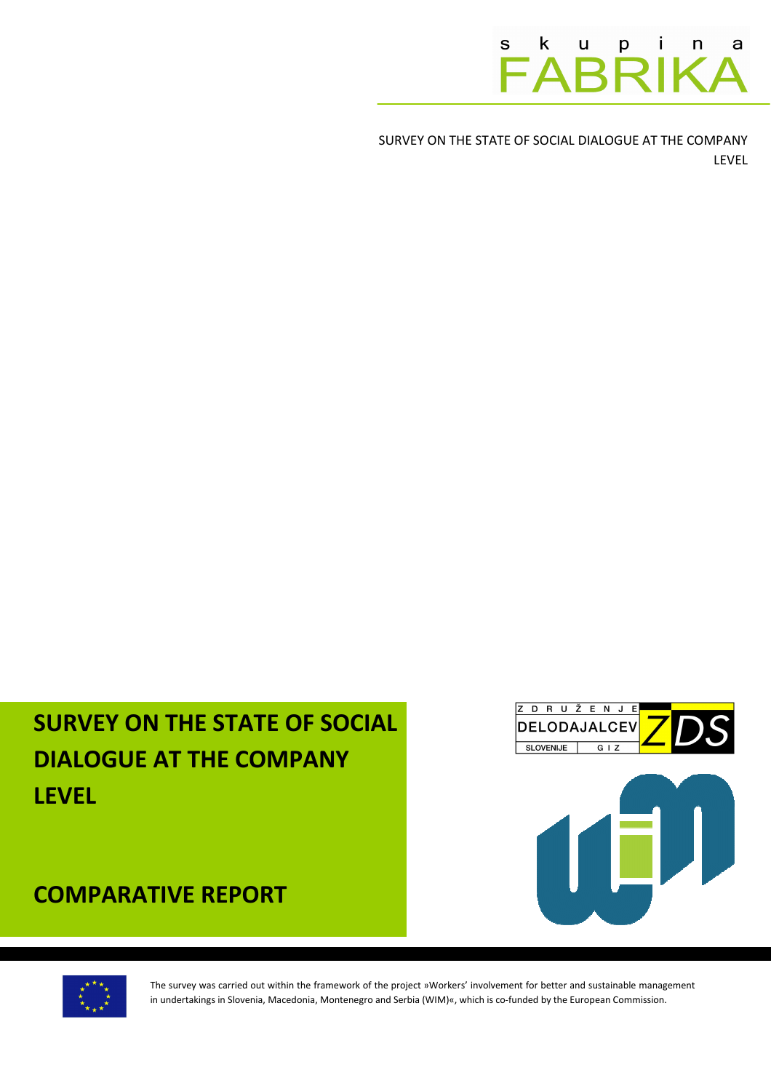S K u p i n a a

SURVEY ON THE STATE OF SOCIAL DIALOGUE AT THE COMPANY LEVEL

# SURVEY ON THE STATE OF SOCIAL DIALOGUE AT THE COMPANY LEVEL



ZDRUŽENJE

COMPARATIVE REPORT



The survey was carried out within the framework of the project »Workers' involvement for better and sustainable management in undertakings in Slovenia, Macedonia, Montenegro and Serbia (WIM)«, which is co-funded by the European Commission.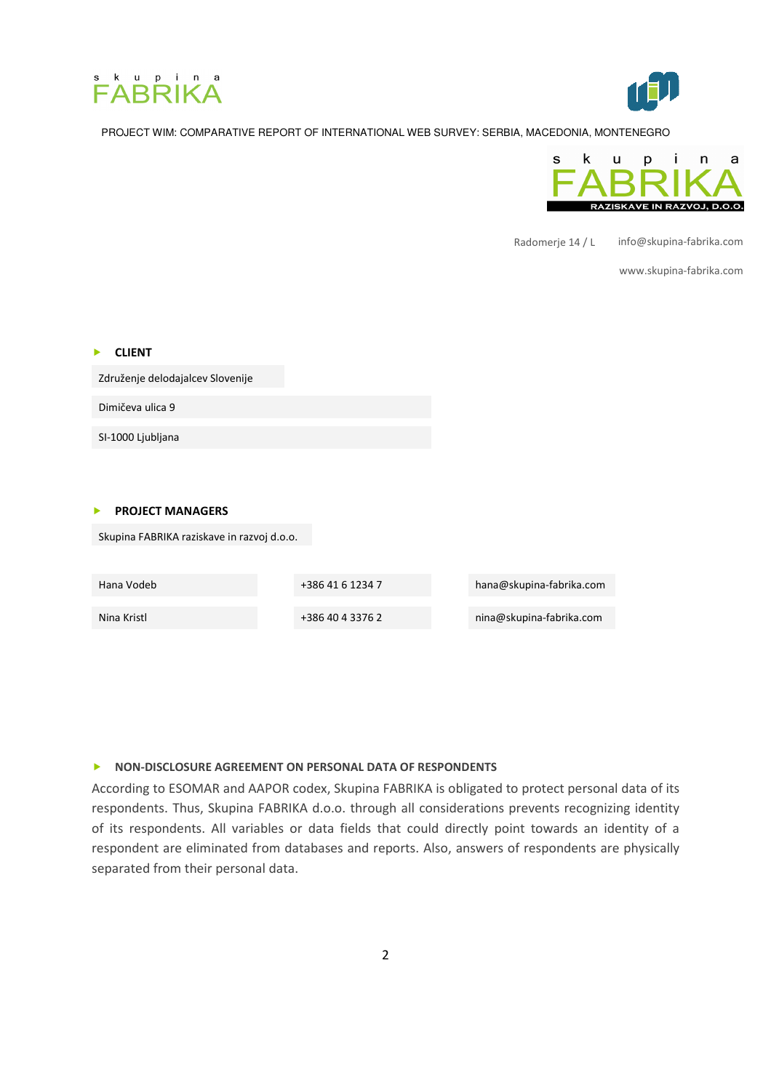





Radomerje 14 / L info@skupina-fabrika.com

www.skupina-fabrika.com

| <b>CLIENT</b>                              |
|--------------------------------------------|
| Združenje delodajalcev Slovenije           |
| Dimičeva ulica 9                           |
| SI-1000 Ljubljana                          |
|                                            |
| <b>PROJECT MANAGERS</b>                    |
| Skupina FABRIKA raziskave in razvoj d.o.o. |

| Hana Vodeb  | +386 41 6 1234 7 | hana@skupina-fabrika.com |
|-------------|------------------|--------------------------|
|             |                  |                          |
| Nina Kristl | +386 40 4 3376 2 | nina@skupina-fabrika.com |
|             |                  |                          |

#### NON-DISCLOSURE AGREEMENT ON PERSONAL DATA OF RESPONDENTS

According to ESOMAR and AAPOR codex, Skupina FABRIKA is obligated to protect personal data of its respondents. Thus, Skupina FABRIKA d.o.o. through all considerations prevents recognizing identity of its respondents. All variables or data fields that could directly point towards an identity of a respondent are eliminated from databases and reports. Also, answers of respondents are physically separated from their personal data.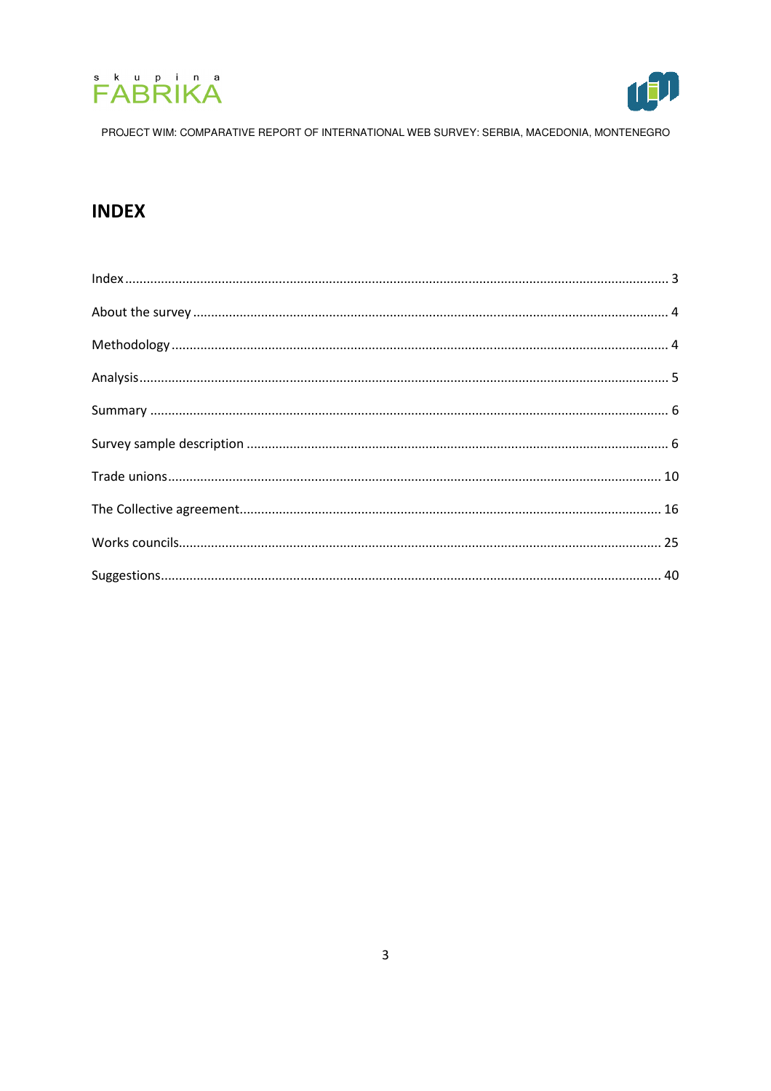



# **INDEX**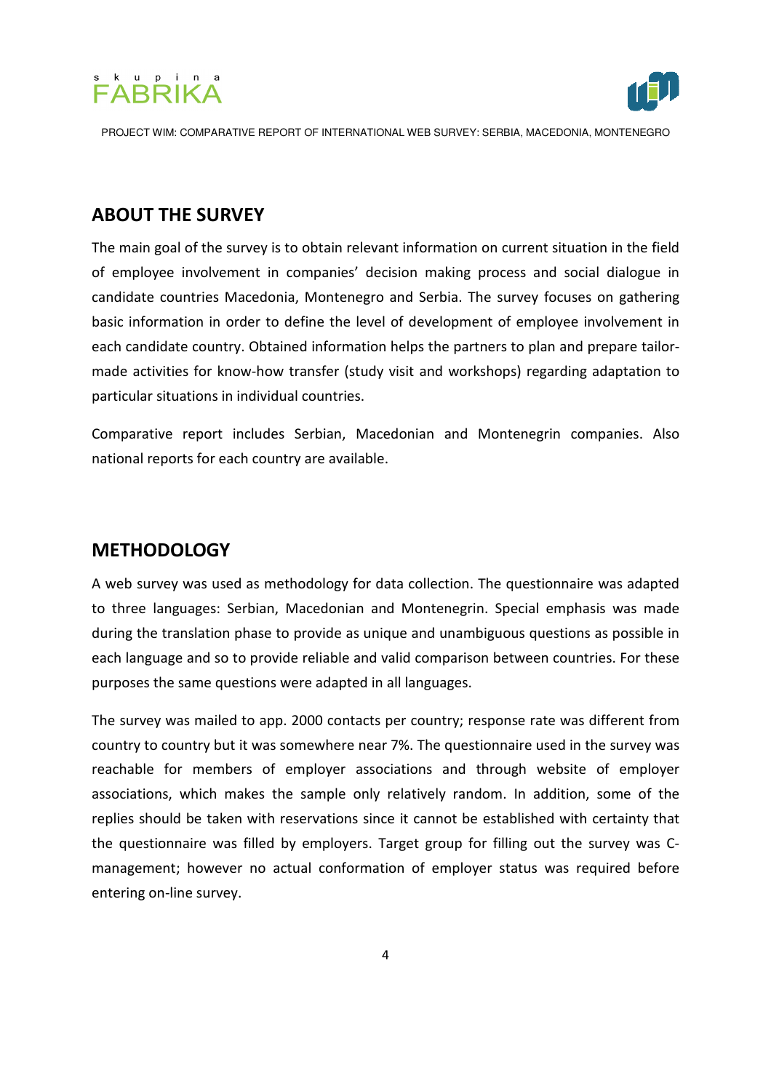



# ABOUT THE SURVEY

The main goal of the survey is to obtain relevant information on current situation in the field of employee involvement in companies' decision making process and social dialogue in candidate countries Macedonia, Montenegro and Serbia. The survey focuses on gathering basic information in order to define the level of development of employee involvement in each candidate country. Obtained information helps the partners to plan and prepare tailormade activities for know-how transfer (study visit and workshops) regarding adaptation to particular situations in individual countries.

Comparative report includes Serbian, Macedonian and Montenegrin companies. Also national reports for each country are available.

# **METHODOLOGY**

A web survey was used as methodology for data collection. The questionnaire was adapted to three languages: Serbian, Macedonian and Montenegrin. Special emphasis was made during the translation phase to provide as unique and unambiguous questions as possible in each language and so to provide reliable and valid comparison between countries. For these purposes the same questions were adapted in all languages.

The survey was mailed to app. 2000 contacts per country; response rate was different from country to country but it was somewhere near 7%. The questionnaire used in the survey was reachable for members of employer associations and through website of employer associations, which makes the sample only relatively random. In addition, some of the replies should be taken with reservations since it cannot be established with certainty that the questionnaire was filled by employers. Target group for filling out the survey was Cmanagement; however no actual conformation of employer status was required before entering on-line survey.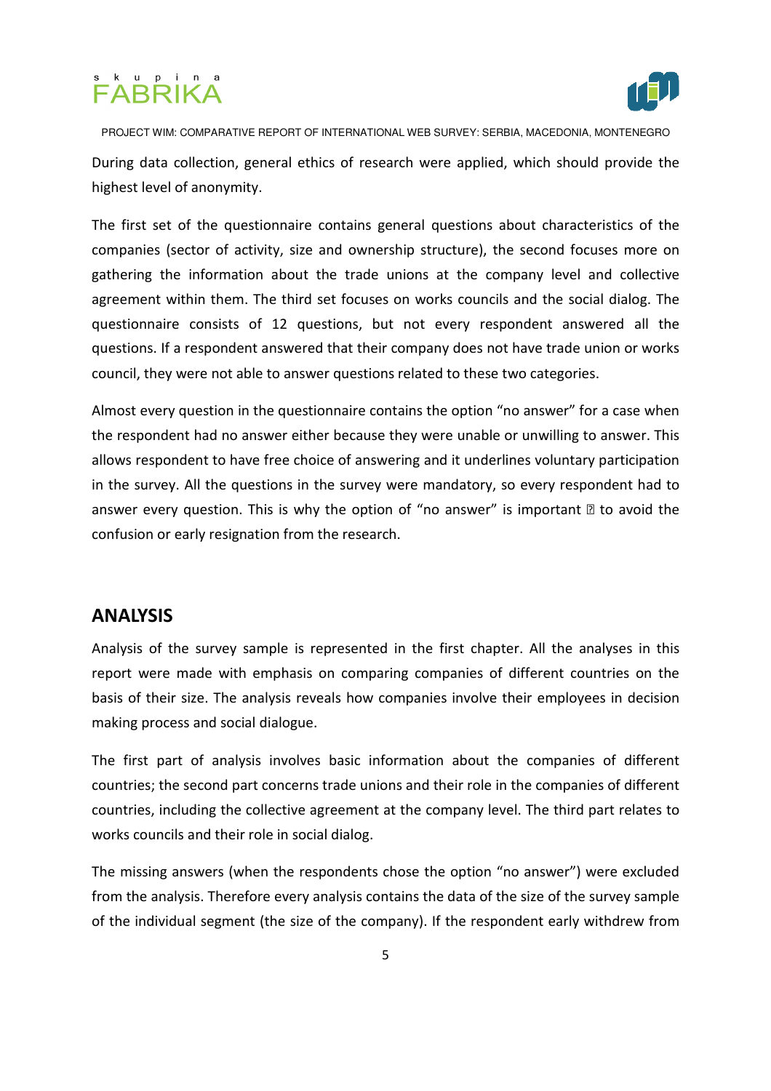# FABRIKA<sup>®</sup>



PROJECT WIM: COMPARATIVE REPORT OF INTERNATIONAL WEB SURVEY: SERBIA, MACEDONIA, MONTENEGRO During data collection, general ethics of research were applied, which should provide the highest level of anonymity.

The first set of the questionnaire contains general questions about characteristics of the companies (sector of activity, size and ownership structure), the second focuses more on gathering the information about the trade unions at the company level and collective agreement within them. The third set focuses on works councils and the social dialog. The questionnaire consists of 12 questions, but not every respondent answered all the questions. If a respondent answered that their company does not have trade union or works council, they were not able to answer questions related to these two categories.

Almost every question in the questionnaire contains the option "no answer" for a case when the respondent had no answer either because they were unable or unwilling to answer. This allows respondent to have free choice of answering and it underlines voluntary participation in the survey. All the questions in the survey were mandatory, so every respondent had to answer every question. This is why the option of "no answer" is important  $\mathbb B$  to avoid the confusion or early resignation from the research.

# ANALYSIS

Analysis of the survey sample is represented in the first chapter. All the analyses in this report were made with emphasis on comparing companies of different countries on the basis of their size. The analysis reveals how companies involve their employees in decision making process and social dialogue.

The first part of analysis involves basic information about the companies of different countries; the second part concerns trade unions and their role in the companies of different countries, including the collective agreement at the company level. The third part relates to works councils and their role in social dialog.

The missing answers (when the respondents chose the option "no answer") were excluded from the analysis. Therefore every analysis contains the data of the size of the survey sample of the individual segment (the size of the company). If the respondent early withdrew from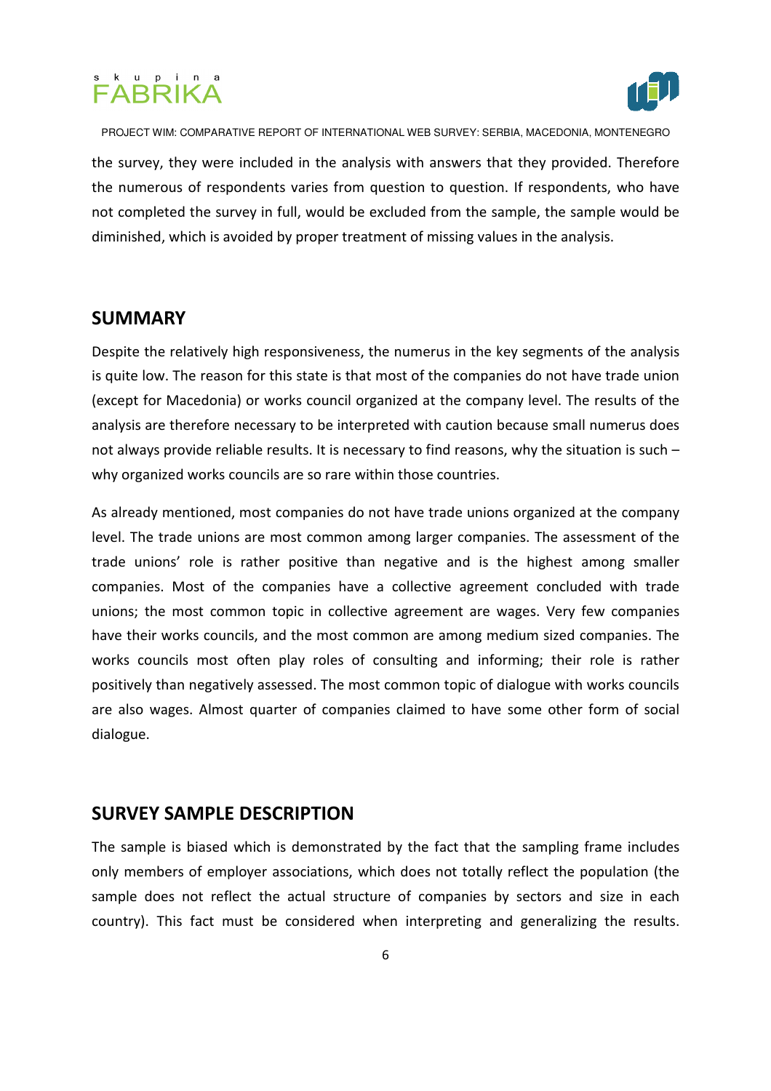# j



PROJECT WIM: COMPARATIVE REPORT OF INTERNATIONAL WEB SURVEY: SERBIA, MACEDONIA, MONTENEGRO

the survey, they were included in the analysis with answers that they provided. Therefore the numerous of respondents varies from question to question. If respondents, who have not completed the survey in full, would be excluded from the sample, the sample would be diminished, which is avoided by proper treatment of missing values in the analysis.

# SUMMARY

Despite the relatively high responsiveness, the numerus in the key segments of the analysis is quite low. The reason for this state is that most of the companies do not have trade union (except for Macedonia) or works council organized at the company level. The results of the analysis are therefore necessary to be interpreted with caution because small numerus does not always provide reliable results. It is necessary to find reasons, why the situation is such – why organized works councils are so rare within those countries.

As already mentioned, most companies do not have trade unions organized at the company level. The trade unions are most common among larger companies. The assessment of the trade unions' role is rather positive than negative and is the highest among smaller companies. Most of the companies have a collective agreement concluded with trade unions; the most common topic in collective agreement are wages. Very few companies have their works councils, and the most common are among medium sized companies. The works councils most often play roles of consulting and informing; their role is rather positively than negatively assessed. The most common topic of dialogue with works councils are also wages. Almost quarter of companies claimed to have some other form of social dialogue.

### SURVEY SAMPLE DESCRIPTION

The sample is biased which is demonstrated by the fact that the sampling frame includes only members of employer associations, which does not totally reflect the population (the sample does not reflect the actual structure of companies by sectors and size in each country). This fact must be considered when interpreting and generalizing the results.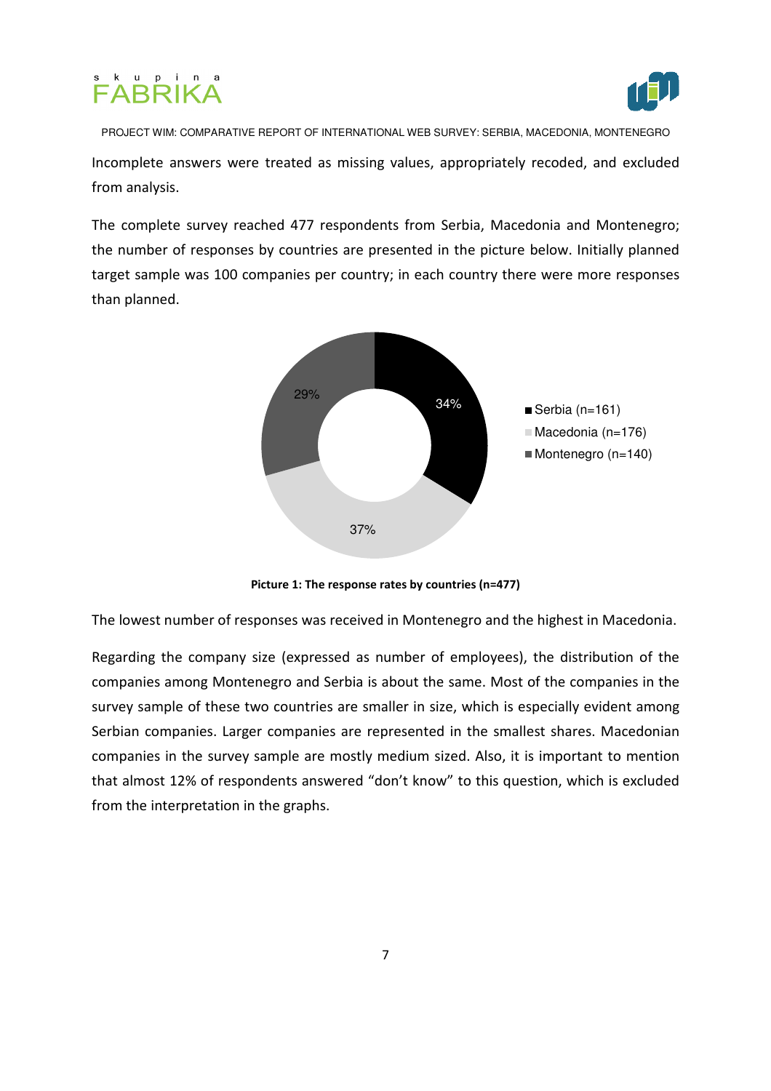



PROJECT WIM: COMPARATIVE REPORT OF INTERNATIONAL WEB SURVEY: SERBIA, MACEDONIA, MONTENEGRO Incomplete answers were treated as missing values, appropriately recoded, and excluded from analysis.

The complete survey reached 477 respondents from Serbia, Macedonia and Montenegro; the number of responses by countries are presented in the picture below. Initially planned target sample was 100 companies per country; in each country there were more responses than planned.



Picture 1: The response rates by countries (n=477)

The lowest number of responses was received in Montenegro and the highest in Macedonia.

Regarding the company size (expressed as number of employees), the distribution of the companies among Montenegro and Serbia is about the same. Most of the companies in the survey sample of these two countries are smaller in size, which is especially evident among Serbian companies. Larger companies are represented in the smallest shares. Macedonian companies in the survey sample are mostly medium sized. Also, it is important to mention that almost 12% of respondents answered "don't know" to this question, which is excluded from the interpretation in the graphs.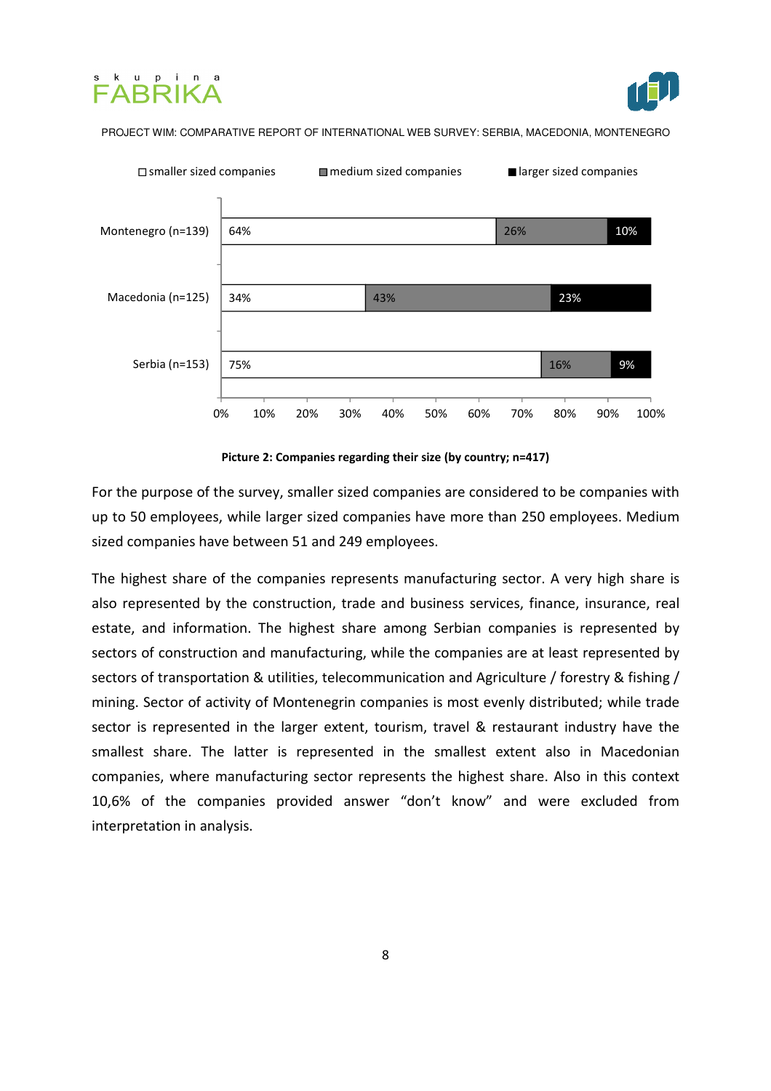





Picture 2: Companies regarding their size (by country; n=417)

For the purpose of the survey, smaller sized companies are considered to be companies with up to 50 employees, while larger sized companies have more than 250 employees. Medium sized companies have between 51 and 249 employees.

The highest share of the companies represents manufacturing sector. A very high share is also represented by the construction, trade and business services, finance, insurance, real estate, and information. The highest share among Serbian companies is represented by sectors of construction and manufacturing, while the companies are at least represented by sectors of transportation & utilities, telecommunication and Agriculture / forestry & fishing / mining. Sector of activity of Montenegrin companies is most evenly distributed; while trade sector is represented in the larger extent, tourism, travel & restaurant industry have the smallest share. The latter is represented in the smallest extent also in Macedonian companies, where manufacturing sector represents the highest share. Also in this context 10,6% of the companies provided answer "don't know" and were excluded from interpretation in analysis.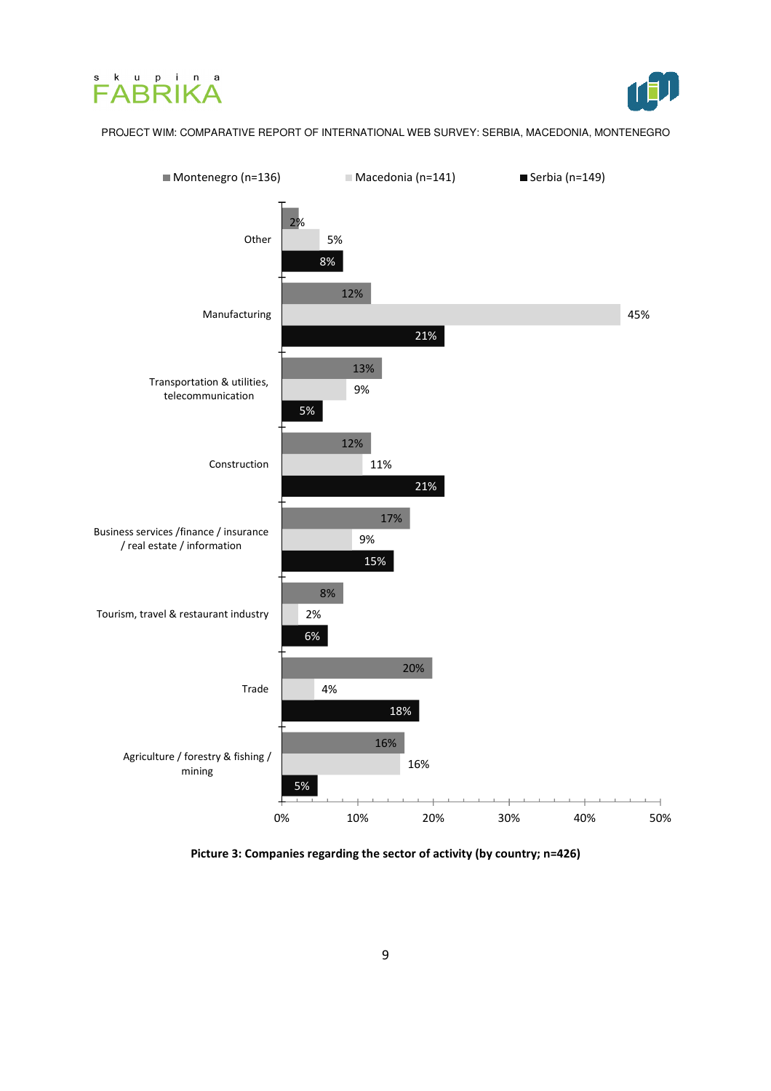





Picture 3: Companies regarding the sector of activity (by country; n=426)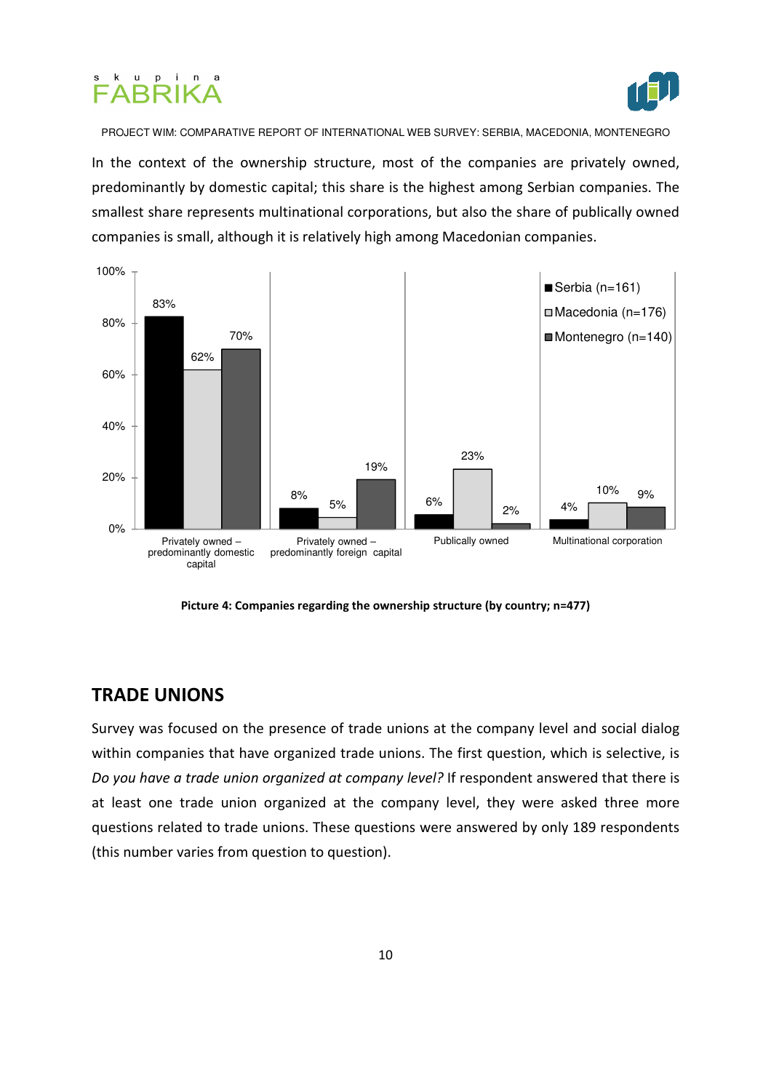



In the context of the ownership structure, most of the companies are privately owned, predominantly by domestic capital; this share is the highest among Serbian companies. The smallest share represents multinational corporations, but also the share of publically owned companies is small, although it is relatively high among Macedonian companies.



Picture 4: Companies regarding the ownership structure (by country; n=477)

### TRADE UNIONS

Survey was focused on the presence of trade unions at the company level and social dialog within companies that have organized trade unions. The first question, which is selective, is Do you have a trade union organized at company level? If respondent answered that there is at least one trade union organized at the company level, they were asked three more questions related to trade unions. These questions were answered by only 189 respondents (this number varies from question to question).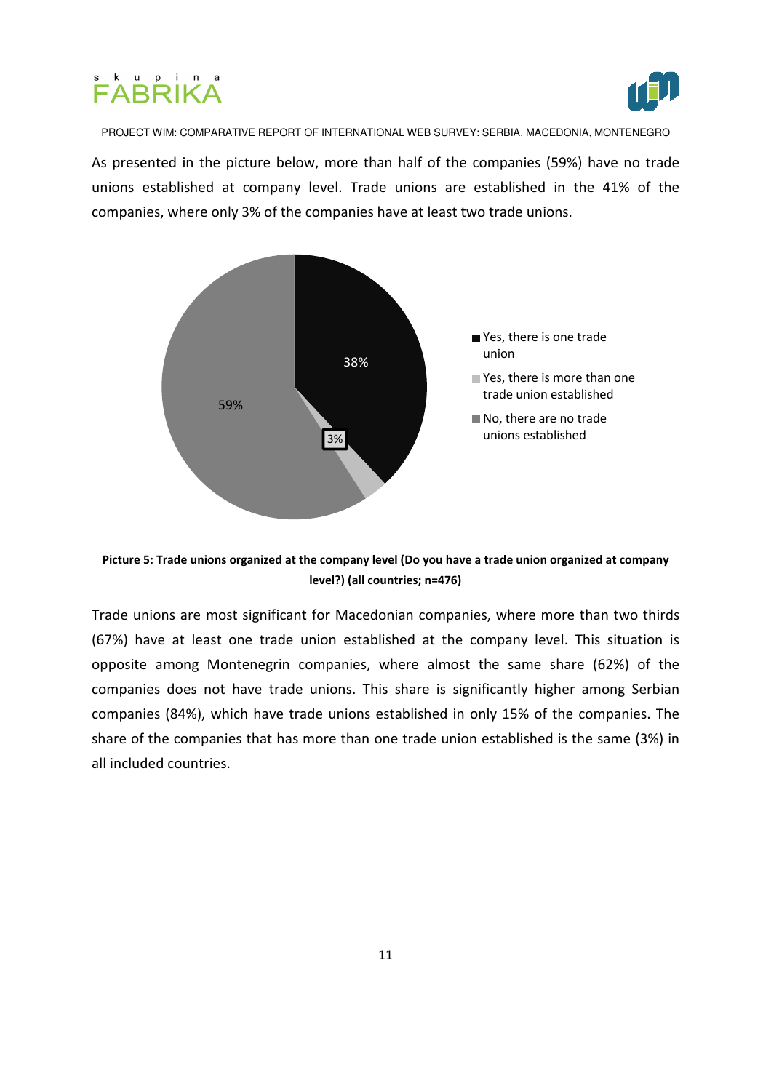



As presented in the picture below, more than half of the companies (59%) have no trade unions established at company level. Trade unions are established in the 41% of the companies, where only 3% of the companies have at least two trade unions.



Picture 5: Trade unions organized at the company level (Do you have a trade union organized at company level?) (all countries; n=476)

Trade unions are most significant for Macedonian companies, where more than two thirds (67%) have at least one trade union established at the company level. This situation is opposite among Montenegrin companies, where almost the same share (62%) of the companies does not have trade unions. This share is significantly higher among Serbian companies (84%), which have trade unions established in only 15% of the companies. The share of the companies that has more than one trade union established is the same (3%) in all included countries.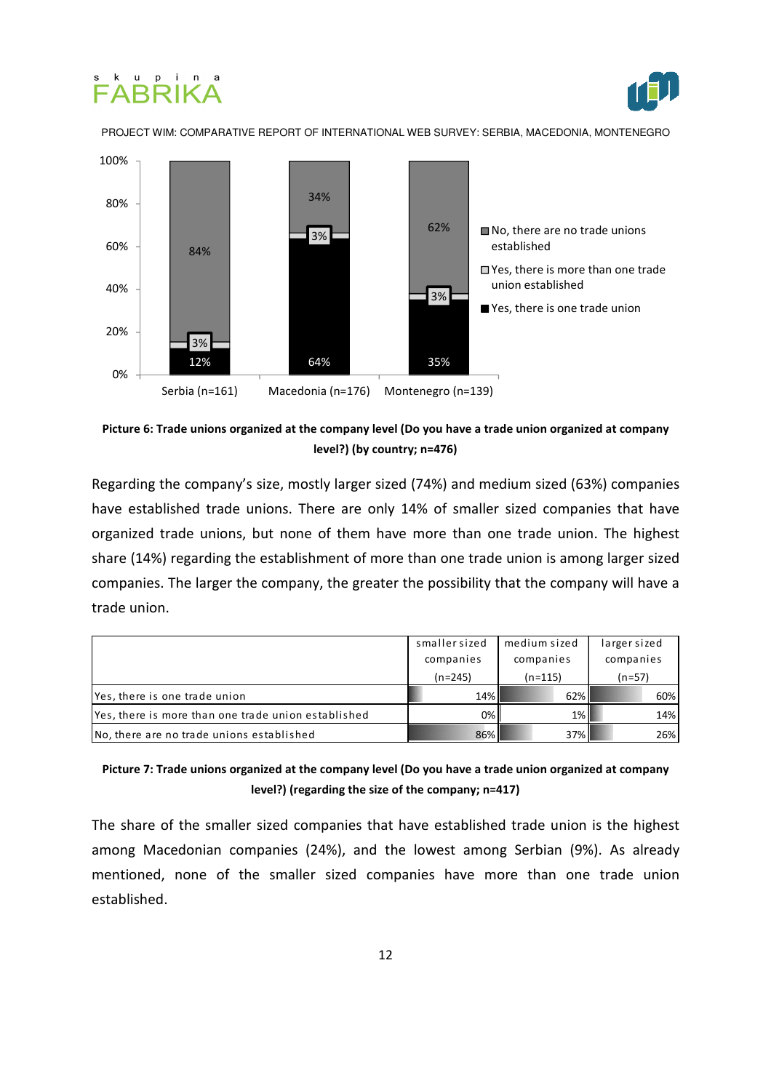





Picture 6: Trade unions organized at the company level (Do you have a trade union organized at company level?) (by country; n=476)

Regarding the company's size, mostly larger sized (74%) and medium sized (63%) companies have established trade unions. There are only 14% of smaller sized companies that have organized trade unions, but none of them have more than one trade union. The highest share (14%) regarding the establishment of more than one trade union is among larger sized companies. The larger the company, the greater the possibility that the company will have a trade union.

|                                                     | smallersized<br>companies | medium sized<br>companies | larger sized<br>companies |
|-----------------------------------------------------|---------------------------|---------------------------|---------------------------|
|                                                     | $(n=245)$                 | $(n=115)$                 | $(n=57)$                  |
| Yes, there is one trade union                       | 14%                       | 62%                       | 60%                       |
| Yes, there is more than one trade union established | $0\%$                     | $1\%$                     | 14%                       |
| No, there are no trade unions established           | 86%                       | 37%                       | 26%                       |

#### Picture 7: Trade unions organized at the company level (Do you have a trade union organized at company level?) (regarding the size of the company; n=417)

The share of the smaller sized companies that have established trade union is the highest among Macedonian companies (24%), and the lowest among Serbian (9%). As already mentioned, none of the smaller sized companies have more than one trade union established.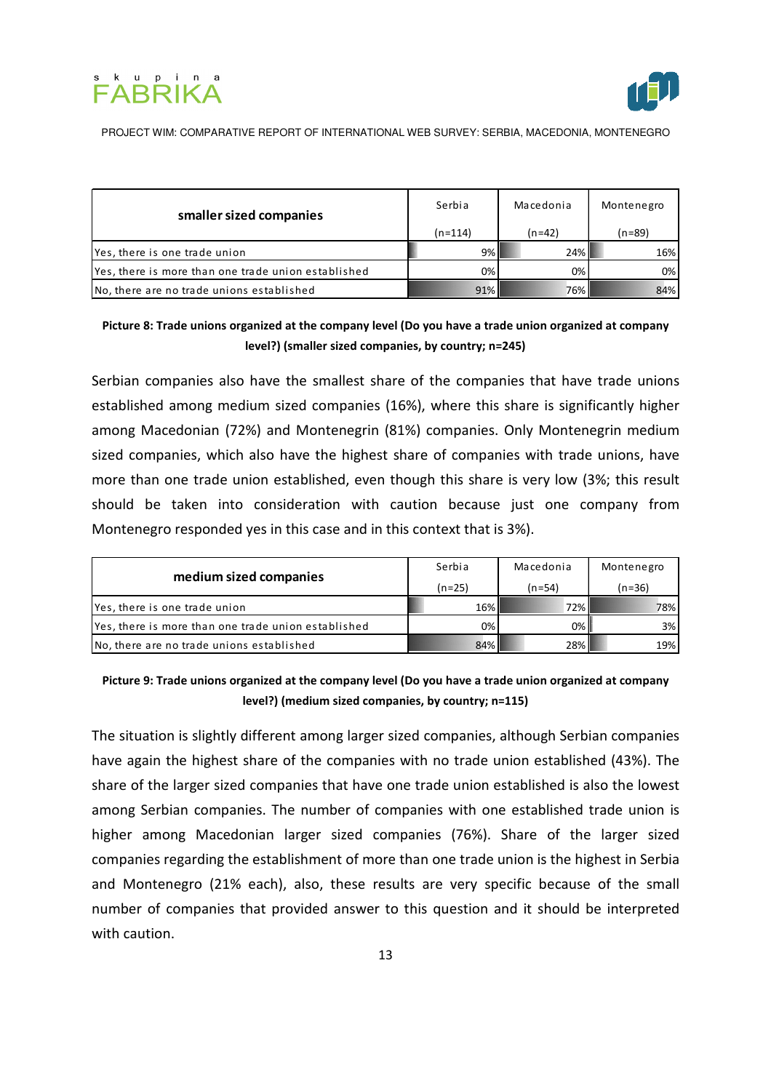



| smaller sized companies                             | Serbia    | Macedonia | Montenegro |
|-----------------------------------------------------|-----------|-----------|------------|
|                                                     | $(n=114)$ | $(n=42)$  | $(n=89)$   |
| Yes, there is one trade union                       | 9%        | 24%       | 16%        |
| Yes, there is more than one trade union established | 0%        | 0%        | 0%         |
| No, there are no trade unions established           | 91%       | 76%       | 84%        |

#### Picture 8: Trade unions organized at the company level (Do you have a trade union organized at company level?) (smaller sized companies, by country; n=245)

Serbian companies also have the smallest share of the companies that have trade unions established among medium sized companies (16%), where this share is significantly higher among Macedonian (72%) and Montenegrin (81%) companies. Only Montenegrin medium sized companies, which also have the highest share of companies with trade unions, have more than one trade union established, even though this share is very low (3%; this result should be taken into consideration with caution because just one company from Montenegro responded yes in this case and in this context that is 3%).

| medium sized companies                              | Serbia   | Macedonia | Montenegro |
|-----------------------------------------------------|----------|-----------|------------|
|                                                     | $(n=25)$ | (n=54)    | $(n=36)$   |
| Yes, there is one trade union                       | 16%      | 72%       | 78%        |
| Yes, there is more than one trade union established | 0%       | 0%        | 3%         |
| No, there are no trade unions established           | 84%      | 28%       | 19%        |

Picture 9: Trade unions organized at the company level (Do you have a trade union organized at company level?) (medium sized companies, by country; n=115)

The situation is slightly different among larger sized companies, although Serbian companies have again the highest share of the companies with no trade union established (43%). The share of the larger sized companies that have one trade union established is also the lowest among Serbian companies. The number of companies with one established trade union is higher among Macedonian larger sized companies (76%). Share of the larger sized companies regarding the establishment of more than one trade union is the highest in Serbia and Montenegro (21% each), also, these results are very specific because of the small number of companies that provided answer to this question and it should be interpreted with caution.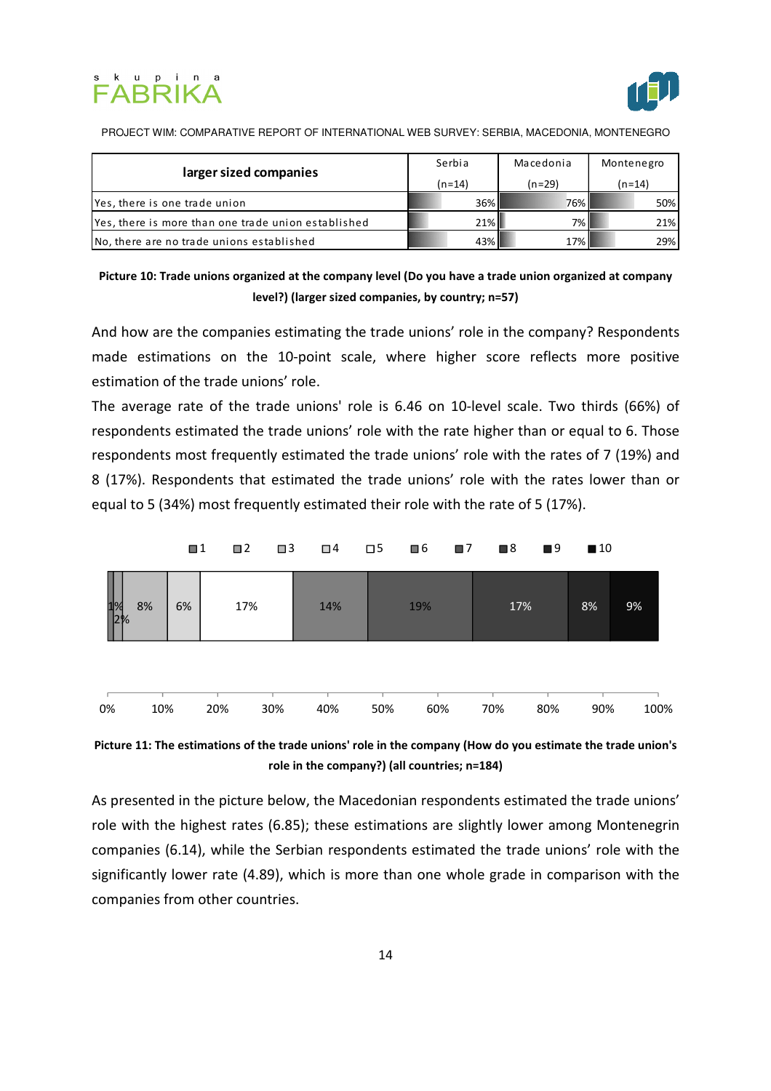



| larger sized companies                              | Serbia   | Macedonia | Montenegro |
|-----------------------------------------------------|----------|-----------|------------|
|                                                     | $(n=14)$ | $(n=29)$  | $(n=14)$   |
| Yes, there is one trade union                       | 36%      | 76%       | 50%        |
| Yes, there is more than one trade union established | $21\%$   | 7% II     | 21%        |
| No, there are no trade unions established           | 43%      | 17% I     | 29%        |

Picture 10: Trade unions organized at the company level (Do you have a trade union organized at company level?) (larger sized companies, by country; n=57)

And how are the companies estimating the trade unions' role in the company? Respondents made estimations on the 10-point scale, where higher score reflects more positive estimation of the trade unions' role.

The average rate of the trade unions' role is 6.46 on 10-level scale. Two thirds (66%) of respondents estimated the trade unions' role with the rate higher than or equal to 6. Those respondents most frequently estimated the trade unions' role with the rates of 7 (19%) and 8 (17%). Respondents that estimated the trade unions' role with the rates lower than or equal to 5 (34%) most frequently estimated their role with the rate of 5 (17%).





As presented in the picture below, the Macedonian respondents estimated the trade unions' role with the highest rates (6.85); these estimations are slightly lower among Montenegrin companies (6.14), while the Serbian respondents estimated the trade unions' role with the significantly lower rate (4.89), which is more than one whole grade in comparison with the companies from other countries.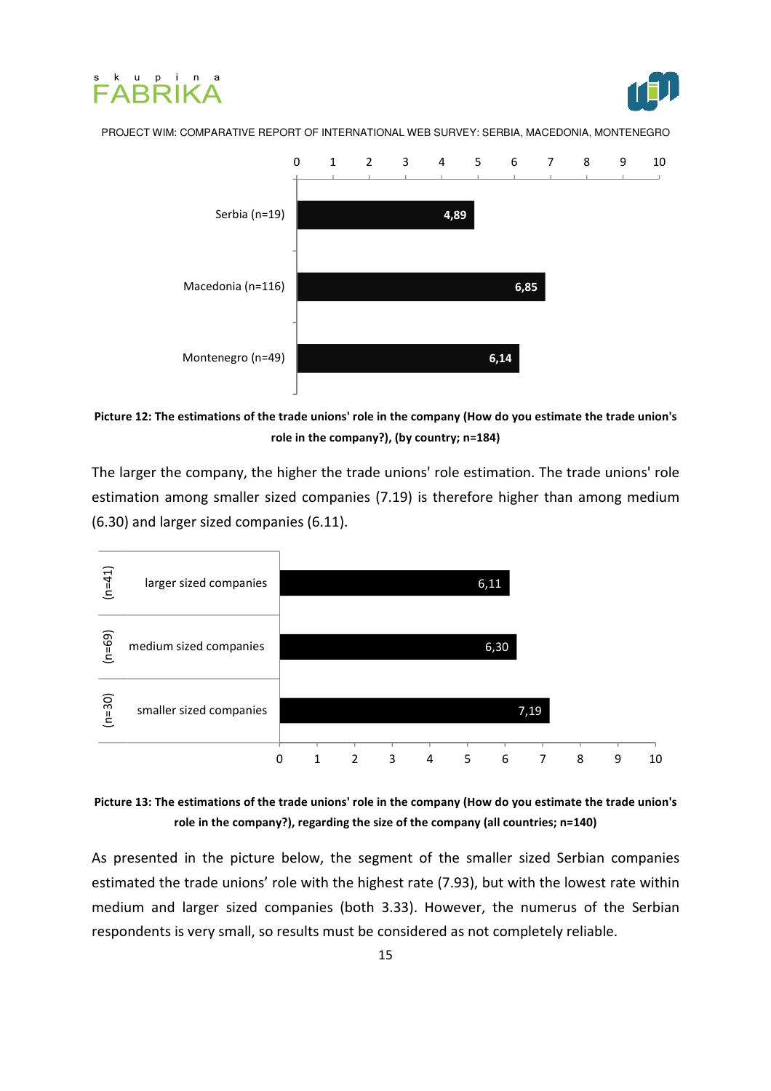





Picture 12: The estimations of the trade unions' role in the company (How do you estimate the trade union's role in the company?), (by country; n=184)

The larger the company, the higher the trade unions' role estimation. The trade unions' role estimation among smaller sized companies (7.19) is therefore higher than among medium (6.30) and larger sized companies (6.11).



Picture 13: The estimations of the trade unions' role in the company (How do you estimate the trade union's role in the company?), regarding the size of the company (all countries; n=140)

As presented in the picture below, the segment of the smaller sized Serbian companies estimated the trade unions' role with the highest rate (7.93), but with the lowest rate within medium and larger sized companies (both 3.33). However, the numerus of the Serbian respondents is very small, so results must be considered as not completely reliable.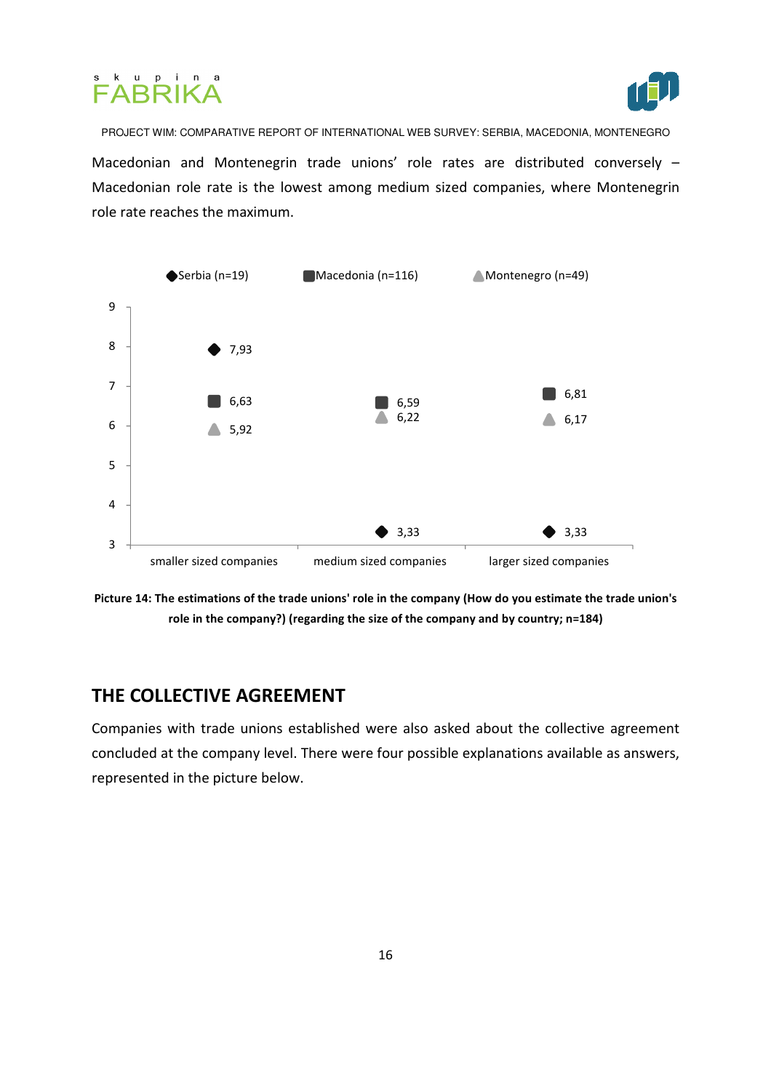



PROJECT WIM: COMPARATIVE REPORT OF INTERNATIONAL WEB SURVEY: SERBIA, MACEDONIA, MONTENEGRO Macedonian and Montenegrin trade unions' role rates are distributed conversely – Macedonian role rate is the lowest among medium sized companies, where Montenegrin role rate reaches the maximum.



Picture 14: The estimations of the trade unions' role in the company (How do you estimate the trade union's role in the company?) (regarding the size of the company and by country; n=184)

# THE COLLECTIVE AGREEMENT

Companies with trade unions established were also asked about the collective agreement concluded at the company level. There were four possible explanations available as answers, represented in the picture below.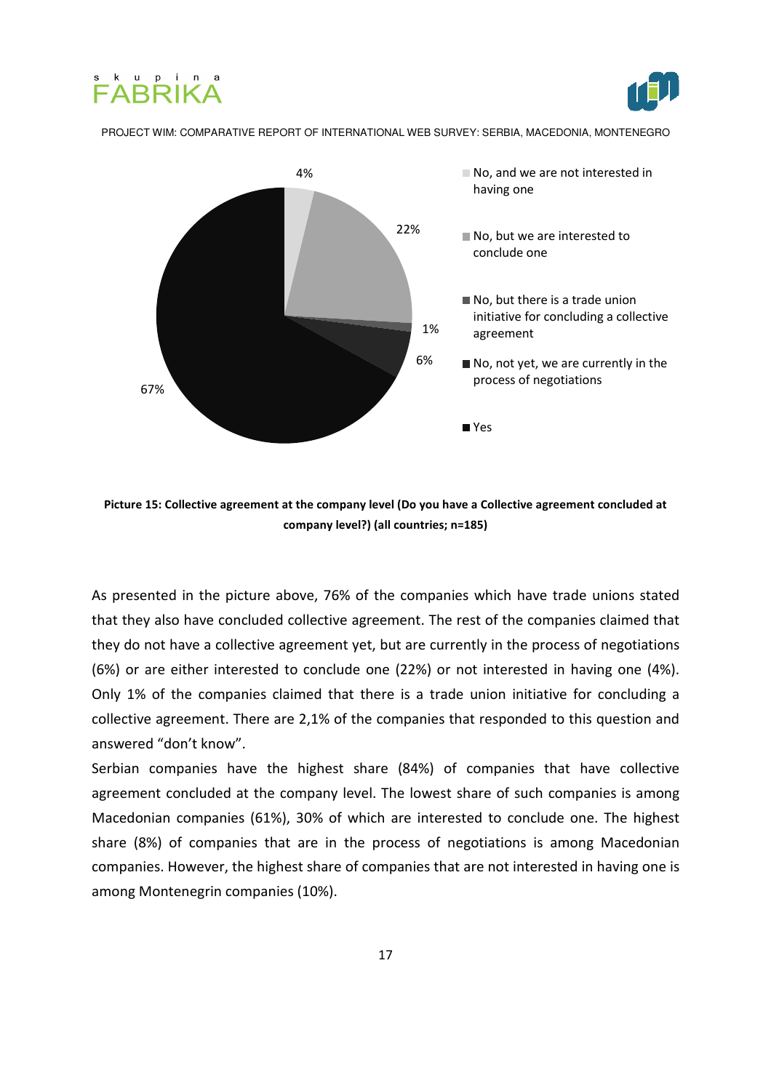





Picture 15: Collective agreement at the company level (Do you have a Collective agreement concluded at company level?) (all countries; n=185)

As presented in the picture above, 76% of the companies which have trade unions stated that they also have concluded collective agreement. The rest of the companies claimed that they do not have a collective agreement yet, but are currently in the process of negotiations (6%) or are either interested to conclude one (22%) or not interested in having one (4%). Only 1% of the companies claimed that there is a trade union initiative for concluding a collective agreement. There are 2,1% of the companies that responded to this question and answered "don't know".

Serbian companies have the highest share (84%) of companies that have collective agreement concluded at the company level. The lowest share of such companies is among Macedonian companies (61%), 30% of which are interested to conclude one. The highest share (8%) of companies that are in the process of negotiations is among Macedonian companies. However, the highest share of companies that are not interested in having one is among Montenegrin companies (10%).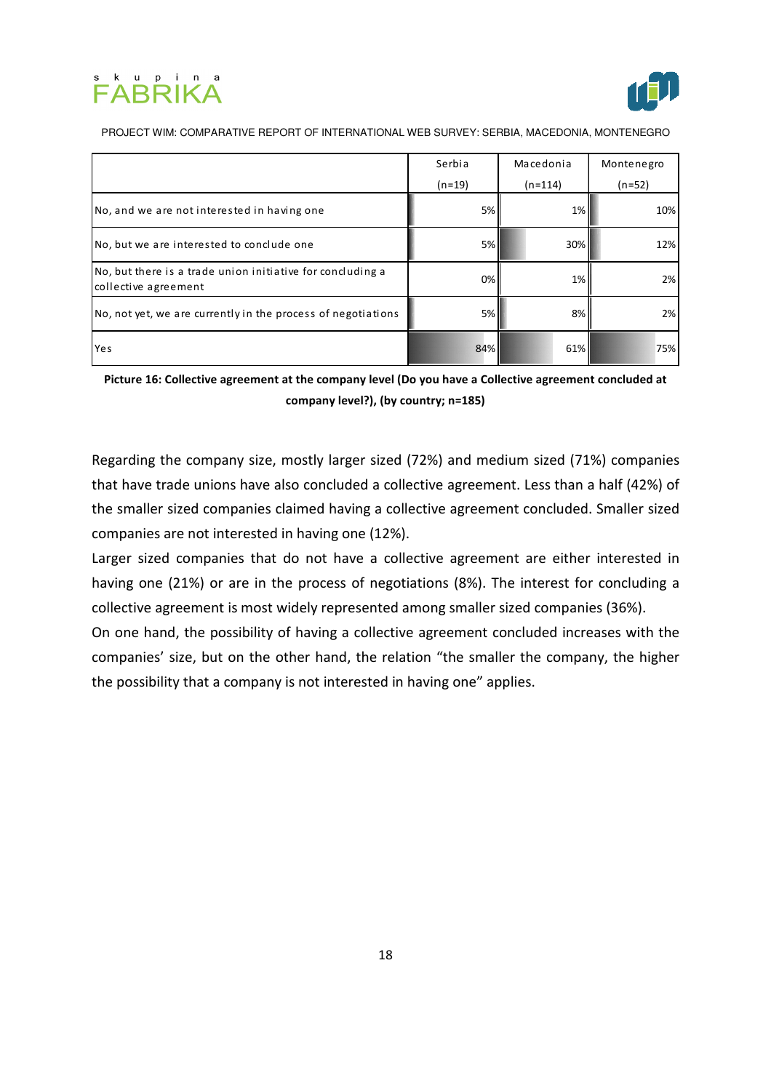



|                                                                                    | Serbia   | Macedonia | Montenegro |
|------------------------------------------------------------------------------------|----------|-----------|------------|
|                                                                                    | $(n=19)$ | $(n=114)$ | $(n=52)$   |
| No, and we are not interested in having one                                        | 5%       | 1%        | 10%        |
| No, but we are interested to conclude one                                          | 5%       | 30%       | 12%        |
| No, but there is a trade union initiative for concluding a<br>collective agreement | 0%       | 1%        | 2%         |
| No, not yet, we are currently in the process of negotiations                       | 5%       | 8%        | 2%         |
| Yes                                                                                | 84%      | 61%       | 75%        |

Picture 16: Collective agreement at the company level (Do you have a Collective agreement concluded at company level?), (by country; n=185)

Regarding the company size, mostly larger sized (72%) and medium sized (71%) companies that have trade unions have also concluded a collective agreement. Less than a half (42%) of the smaller sized companies claimed having a collective agreement concluded. Smaller sized companies are not interested in having one (12%).

Larger sized companies that do not have a collective agreement are either interested in having one (21%) or are in the process of negotiations (8%). The interest for concluding a collective agreement is most widely represented among smaller sized companies (36%).

On one hand, the possibility of having a collective agreement concluded increases with the companies' size, but on the other hand, the relation "the smaller the company, the higher the possibility that a company is not interested in having one" applies.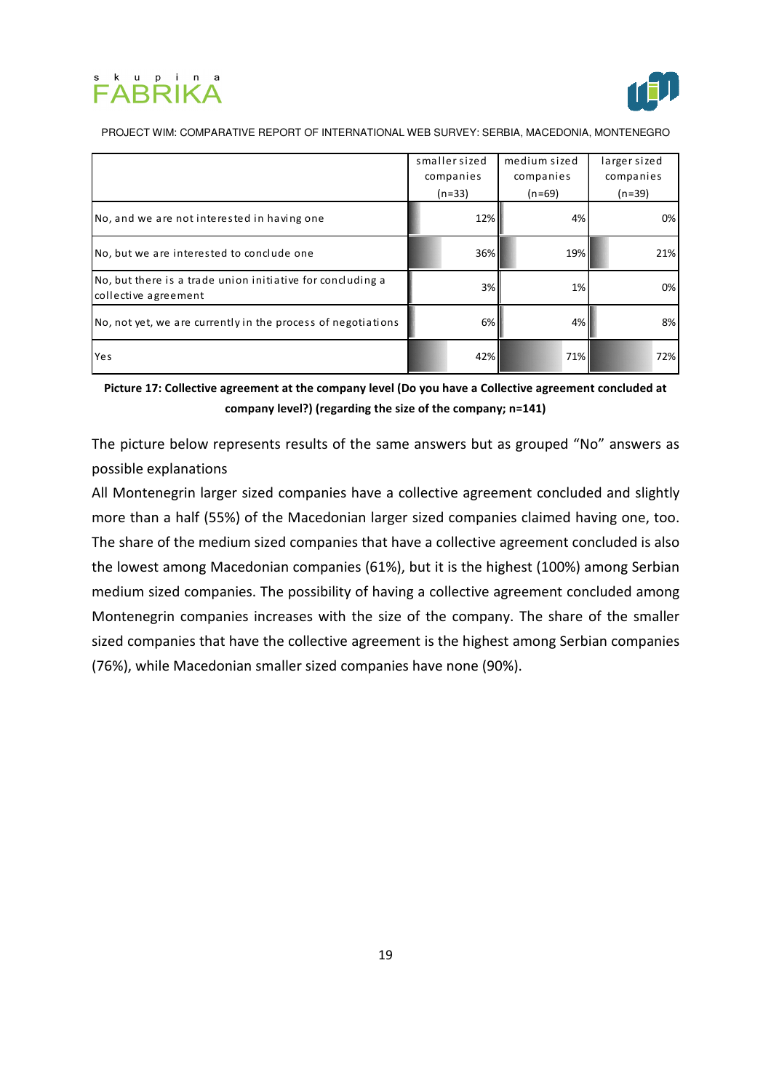



|                                                                                    | smaller sized         | medium sized          | larger sized          |
|------------------------------------------------------------------------------------|-----------------------|-----------------------|-----------------------|
|                                                                                    | companies<br>$(n=33)$ | companies<br>$(n=69)$ | companies<br>$(n=39)$ |
| No, and we are not interested in having one                                        | 12%                   | 4%                    | 0%                    |
| No, but we are interested to conclude one                                          | 36%                   | 19%                   | 21%                   |
| No, but there is a trade union initiative for concluding a<br>collective agreement | 3%                    | 1%                    | 0%                    |
| No, not yet, we are currently in the process of negotiations                       | 6%                    | 4%                    | 8%                    |
| Yes                                                                                | 42%                   | 71%                   | 72%                   |

Picture 17: Collective agreement at the company level (Do you have a Collective agreement concluded at company level?) (regarding the size of the company; n=141)

The picture below represents results of the same answers but as grouped "No" answers as possible explanations

All Montenegrin larger sized companies have a collective agreement concluded and slightly more than a half (55%) of the Macedonian larger sized companies claimed having one, too. The share of the medium sized companies that have a collective agreement concluded is also the lowest among Macedonian companies (61%), but it is the highest (100%) among Serbian medium sized companies. The possibility of having a collective agreement concluded among Montenegrin companies increases with the size of the company. The share of the smaller sized companies that have the collective agreement is the highest among Serbian companies (76%), while Macedonian smaller sized companies have none (90%).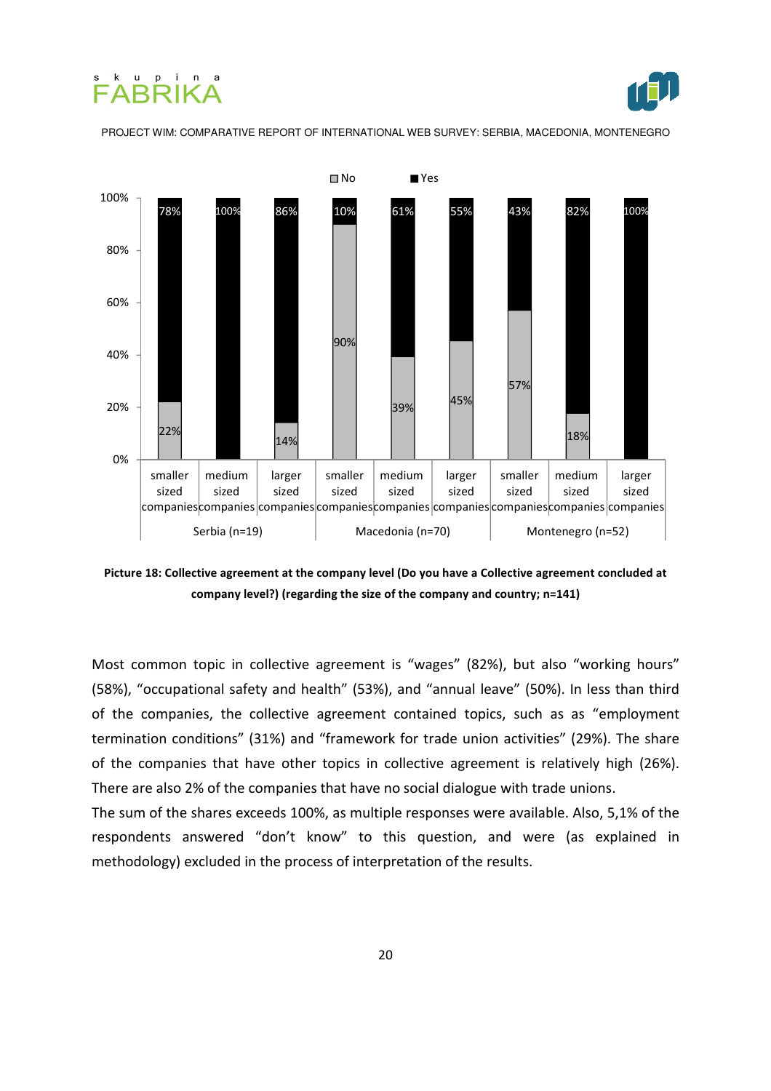





Picture 18: Collective agreement at the company level (Do you have a Collective agreement concluded at company level?) (regarding the size of the company and country; n=141)

Most common topic in collective agreement is "wages" (82%), but also "working hours" (58%), "occupational safety and health" (53%), and "annual leave" (50%). In less than third of the companies, the collective agreement contained topics, such as as "employment termination conditions" (31%) and "framework for trade union activities" (29%). The share of the companies that have other topics in collective agreement is relatively high (26%). There are also 2% of the companies that have no social dialogue with trade unions.

The sum of the shares exceeds 100%, as multiple responses were available. Also, 5,1% of the respondents answered "don't know" to this question, and were (as explained in methodology) excluded in the process of interpretation of the results.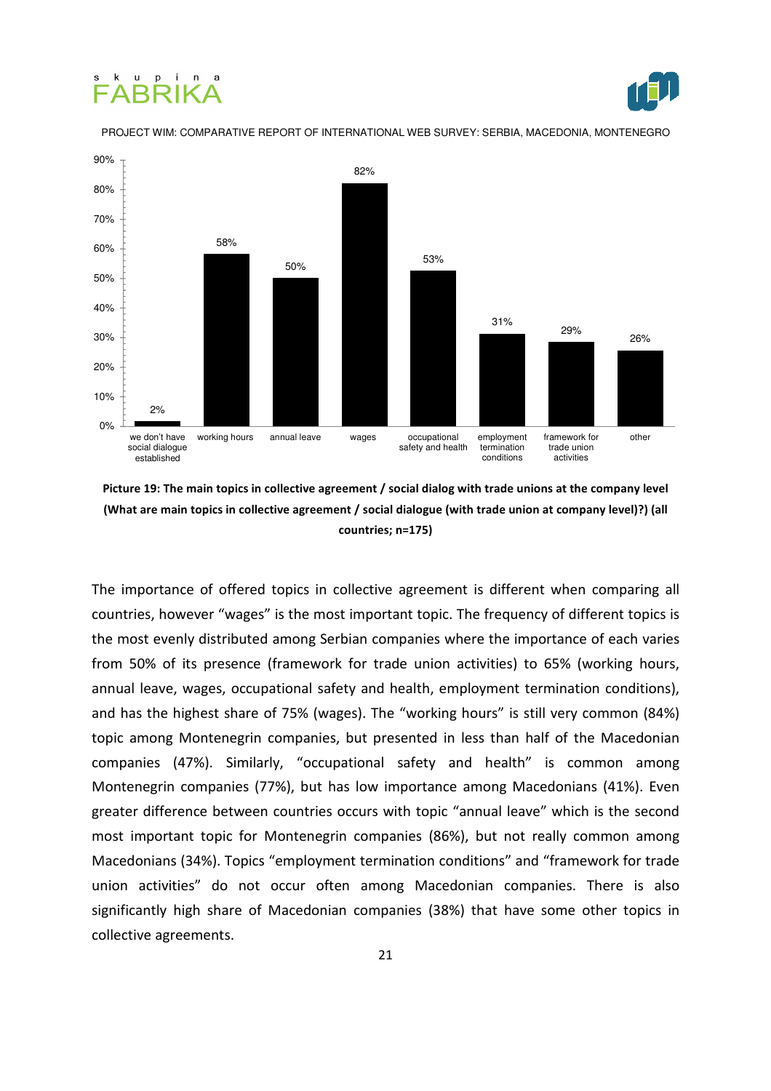#### ku pin FARRIKA j



PROJECT WIM: COMPARATIVE REPORT OF INTERNATIONAL WEB SURVEY: SERBIA, MACEDONIA, MONTENEGRO



Picture 19: The main topics in collective agreement / social dialog with trade unions at the company level (What are main topics in collective agreement / social dialogue (with trade union at company level)?) (all countries; n=175)

The importance of offered topics in collective agreement is different when comparing all countries, however "wages" is the most important topic. The frequency of different topics is the most evenly distributed among Serbian companies where the importance of each varies from 50% of its presence (framework for trade union activities) to 65% (working hours, annual leave, wages, occupational safety and health, employment termination conditions), and has the highest share of 75% (wages). The "working hours" is still very common (84%) topic among Montenegrin companies, but presented in less than half of the Macedonian companies (47%). Similarly, "occupational safety and health" is common among Montenegrin companies (77%), but has low importance among Macedonians (41%). Even greater difference between countries occurs with topic "annual leave" which is the second most important topic for Montenegrin companies (86%), but not really common among Macedonians (34%). Topics "employment termination conditions" and "framework for trade union activities" do not occur often among Macedonian companies. There is also significantly high share of Macedonian companies (38%) that have some other topics in collective agreements.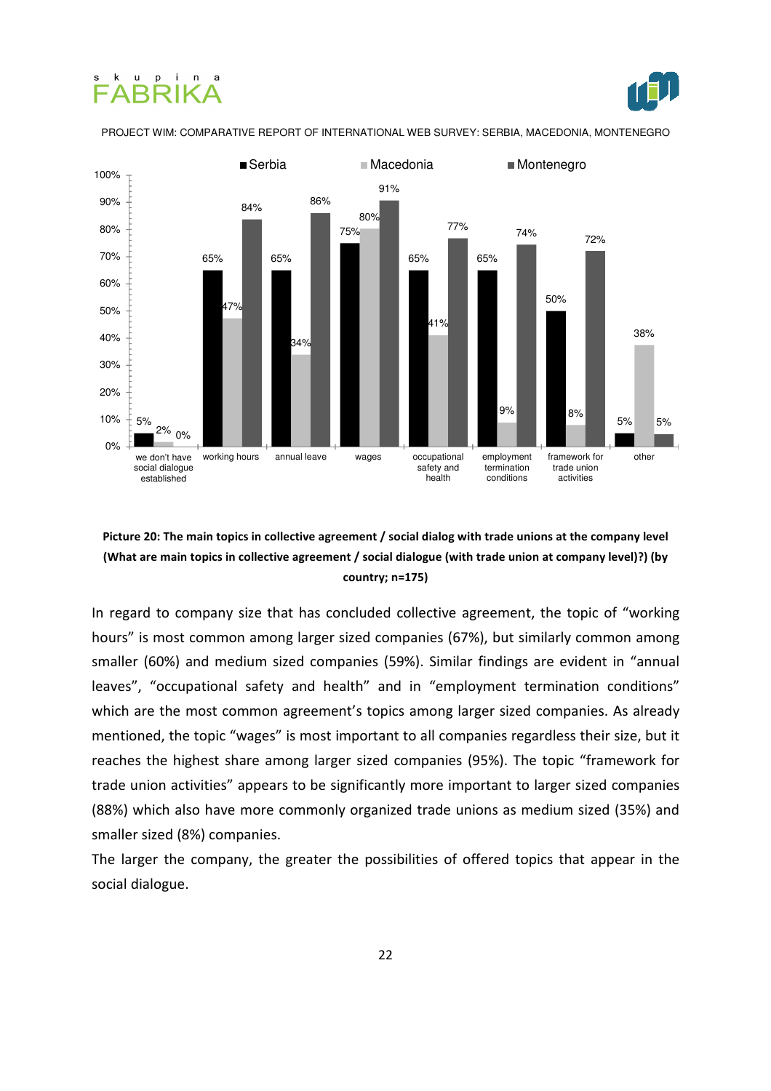# k u p i n FARRIKA

j



PROJECT WIM: COMPARATIVE REPORT OF INTERNATIONAL WEB SURVEY: SERBIA, MACEDONIA, MONTENEGRO



#### Picture 20: The main topics in collective agreement / social dialog with trade unions at the company level (What are main topics in collective agreement / social dialogue (with trade union at company level)?) (by country; n=175)

In regard to company size that has concluded collective agreement, the topic of "working hours" is most common among larger sized companies (67%), but similarly common among smaller (60%) and medium sized companies (59%). Similar findings are evident in "annual leaves", "occupational safety and health" and in "employment termination conditions" which are the most common agreement's topics among larger sized companies. As already mentioned, the topic "wages" is most important to all companies regardless their size, but it reaches the highest share among larger sized companies (95%). The topic "framework for trade union activities" appears to be significantly more important to larger sized companies (88%) which also have more commonly organized trade unions as medium sized (35%) and smaller sized (8%) companies.

The larger the company, the greater the possibilities of offered topics that appear in the social dialogue.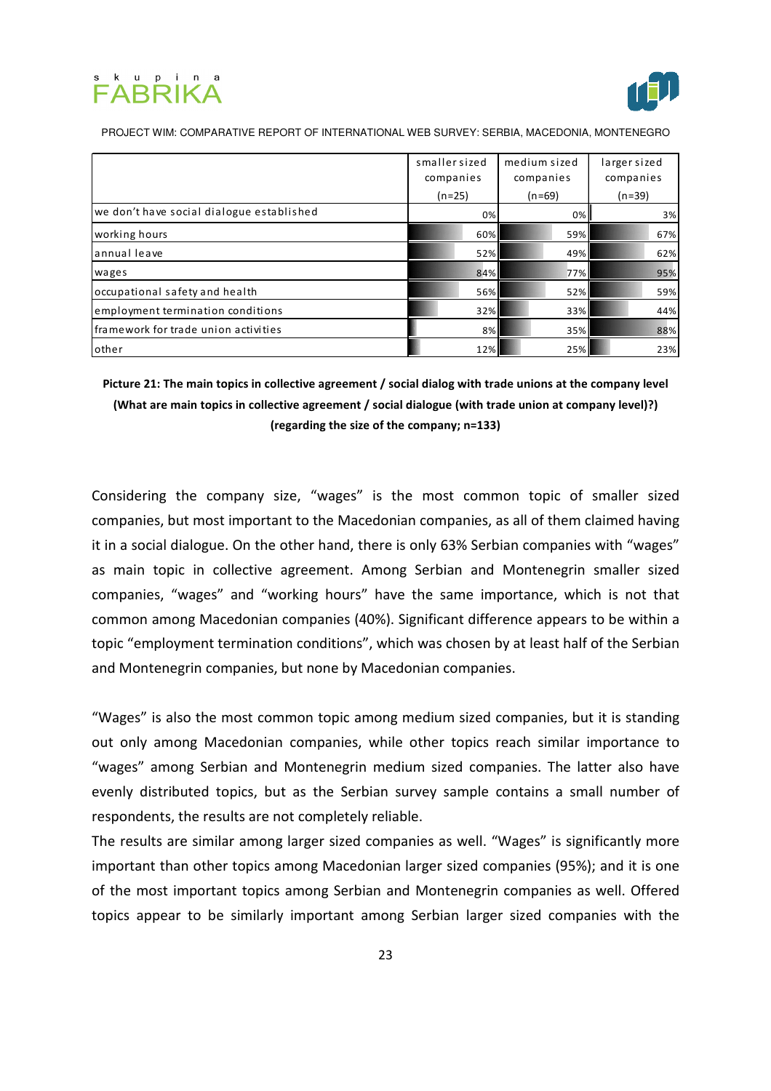



|                                           | smaller sized<br>companies<br>$(n=25)$ | medium sized<br>companies<br>$(n=69)$ | larger sized<br>companies<br>$(n=39)$ |
|-------------------------------------------|----------------------------------------|---------------------------------------|---------------------------------------|
| we don't have social dialogue established | 0%                                     | $0\%$                                 | 3%                                    |
| working hours                             | 60%                                    | 59%                                   | 67%                                   |
| annual leave                              | 52%                                    | 49%                                   | 62%                                   |
| wages                                     | 84%                                    | 77%                                   | 95%                                   |
| occupational safety and health            | 56%                                    | 52%                                   | 59%                                   |
| employment termination conditions         | 32%                                    | 33%                                   | 44%                                   |
| framework for trade union activities      | 8%                                     | 35%                                   | 88%                                   |
| other                                     | 12%                                    | 25%                                   | 23%                                   |

Picture 21: The main topics in collective agreement / social dialog with trade unions at the company level (What are main topics in collective agreement / social dialogue (with trade union at company level)?) (regarding the size of the company; n=133)

Considering the company size, "wages" is the most common topic of smaller sized companies, but most important to the Macedonian companies, as all of them claimed having it in a social dialogue. On the other hand, there is only 63% Serbian companies with "wages" as main topic in collective agreement. Among Serbian and Montenegrin smaller sized companies, "wages" and "working hours" have the same importance, which is not that common among Macedonian companies (40%). Significant difference appears to be within a topic "employment termination conditions", which was chosen by at least half of the Serbian and Montenegrin companies, but none by Macedonian companies.

"Wages" is also the most common topic among medium sized companies, but it is standing out only among Macedonian companies, while other topics reach similar importance to "wages" among Serbian and Montenegrin medium sized companies. The latter also have evenly distributed topics, but as the Serbian survey sample contains a small number of respondents, the results are not completely reliable.

The results are similar among larger sized companies as well. "Wages" is significantly more important than other topics among Macedonian larger sized companies (95%); and it is one of the most important topics among Serbian and Montenegrin companies as well. Offered topics appear to be similarly important among Serbian larger sized companies with the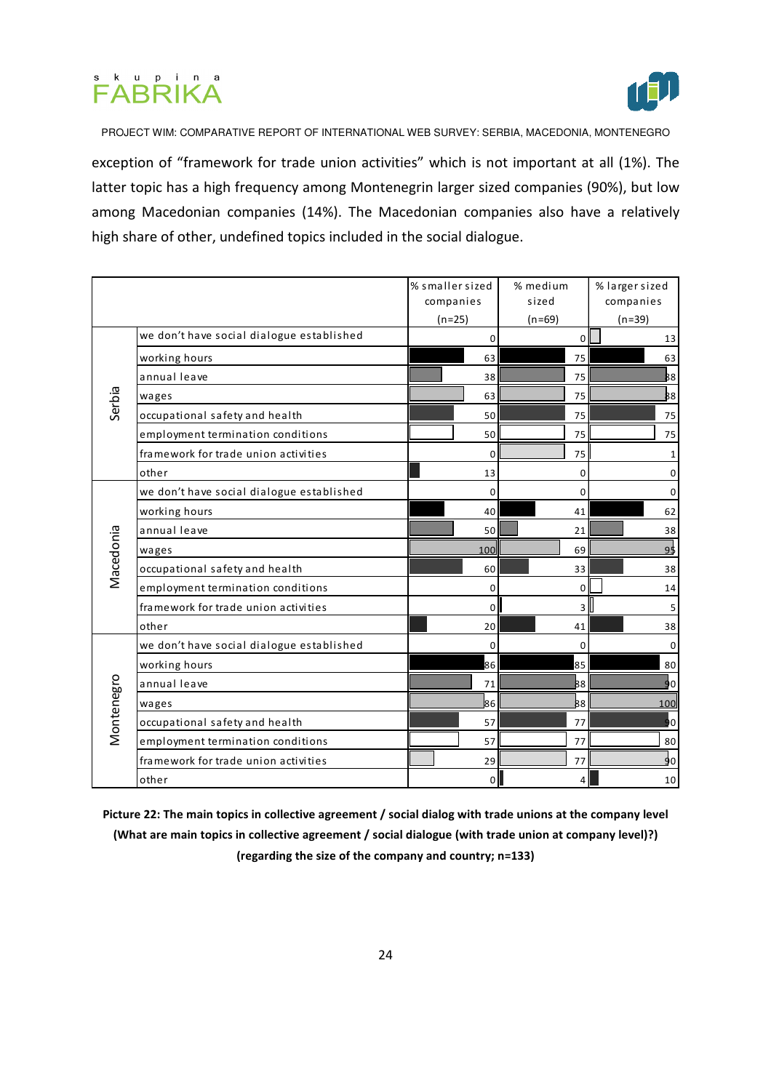



exception of "framework for trade union activities" which is not important at all (1%). The latter topic has a high frequency among Montenegrin larger sized companies (90%), but low among Macedonian companies (14%). The Macedonian companies also have a relatively high share of other, undefined topics included in the social dialogue.

|            |                                           | % smaller sized | % medium       | % larger sized |
|------------|-------------------------------------------|-----------------|----------------|----------------|
|            |                                           | companies       | sized          | companies      |
|            |                                           | $(n=25)$        | $(n=69)$       | $(n=39)$       |
|            | we don't have social dialogue established | $\Omega$        | 0              | 13             |
|            | working hours                             | 63              | 75             | 63             |
|            | annual leave                              | 38              | 75             | 88             |
| Serbia     | wages                                     | 63              | 75             | B8             |
|            | occupational safety and health            | 50              | 75             | 75             |
|            | employment termination conditions         | 50              | 75             | 75             |
|            | framework for trade union activities      | $\mathbf 0$     | 75             | 1              |
|            | other                                     | 13              | 0              | 0              |
|            | we don't have social dialogue established | $\mathbf 0$     | $\mathbf 0$    | 0              |
|            | working hours                             | 40              | 41             | 62             |
|            | annual leave                              | 50              | 21             | 38             |
|            | wages                                     | 100             | 69             | 9 <sup>1</sup> |
| Macedonia  | occupational safety and health            | 60              | 33             | 38             |
|            | employment termination conditions         | $\Omega$        | $\mathbf 0$    | 14             |
|            | framework for trade union activities      | 0               | $\overline{3}$ | 5              |
|            | other                                     | 20              | 41             | 38             |
|            | we don't have social dialogue established | $\mathbf 0$     | $\mathbf 0$    | $\mathbf 0$    |
| Montenegro | working hours                             | 86              | 85             | 80             |
|            | annual leave                              | 71              | 88             | 90             |
|            | wages                                     | 86              | 88             | 100            |
|            | occupational safety and health            | 57              | 77             | ю              |
|            | employment termination conditions         | 57              | 77             | 80             |
|            | framework for trade union activities      | 29              | 77             | 90             |
|            | other                                     | $\Omega$        | 4              | 10             |

Picture 22: The main topics in collective agreement / social dialog with trade unions at the company level (What are main topics in collective agreement / social dialogue (with trade union at company level)?) (regarding the size of the company and country; n=133)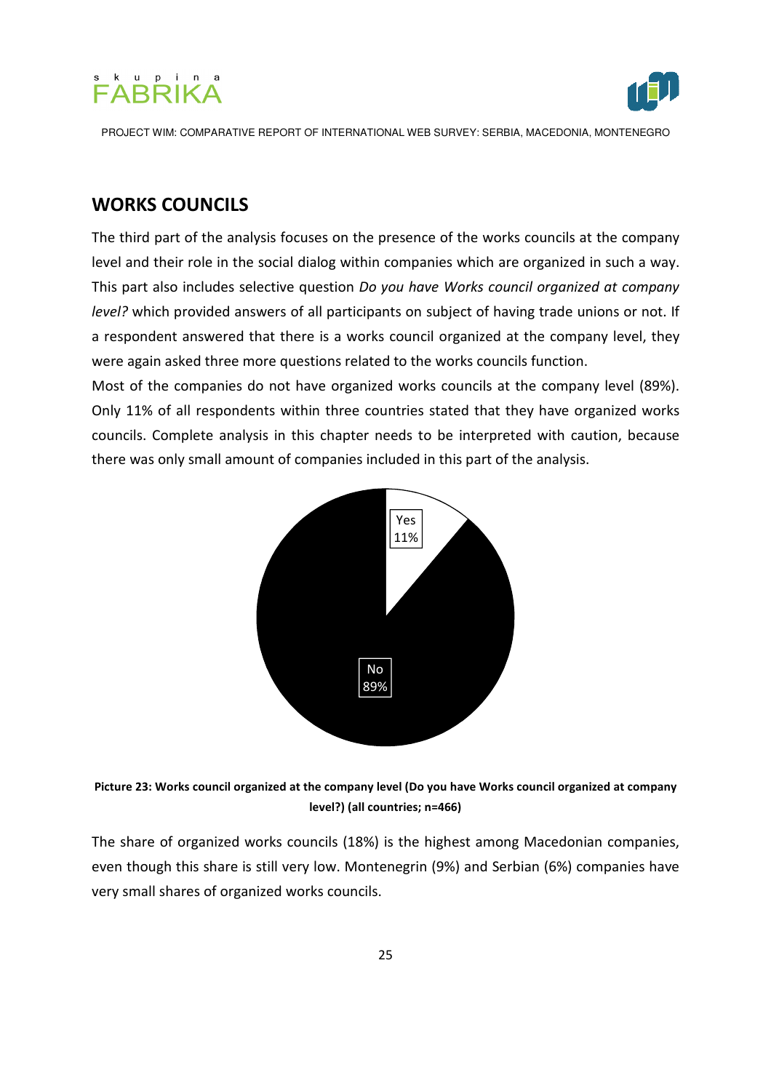



## WORKS COUNCILS

The third part of the analysis focuses on the presence of the works councils at the company level and their role in the social dialog within companies which are organized in such a way. This part also includes selective question Do you have Works council organized at company level? which provided answers of all participants on subject of having trade unions or not. If a respondent answered that there is a works council organized at the company level, they were again asked three more questions related to the works councils function.

Most of the companies do not have organized works councils at the company level (89%). Only 11% of all respondents within three countries stated that they have organized works councils. Complete analysis in this chapter needs to be interpreted with caution, because there was only small amount of companies included in this part of the analysis.





The share of organized works councils (18%) is the highest among Macedonian companies, even though this share is still very low. Montenegrin (9%) and Serbian (6%) companies have very small shares of organized works councils.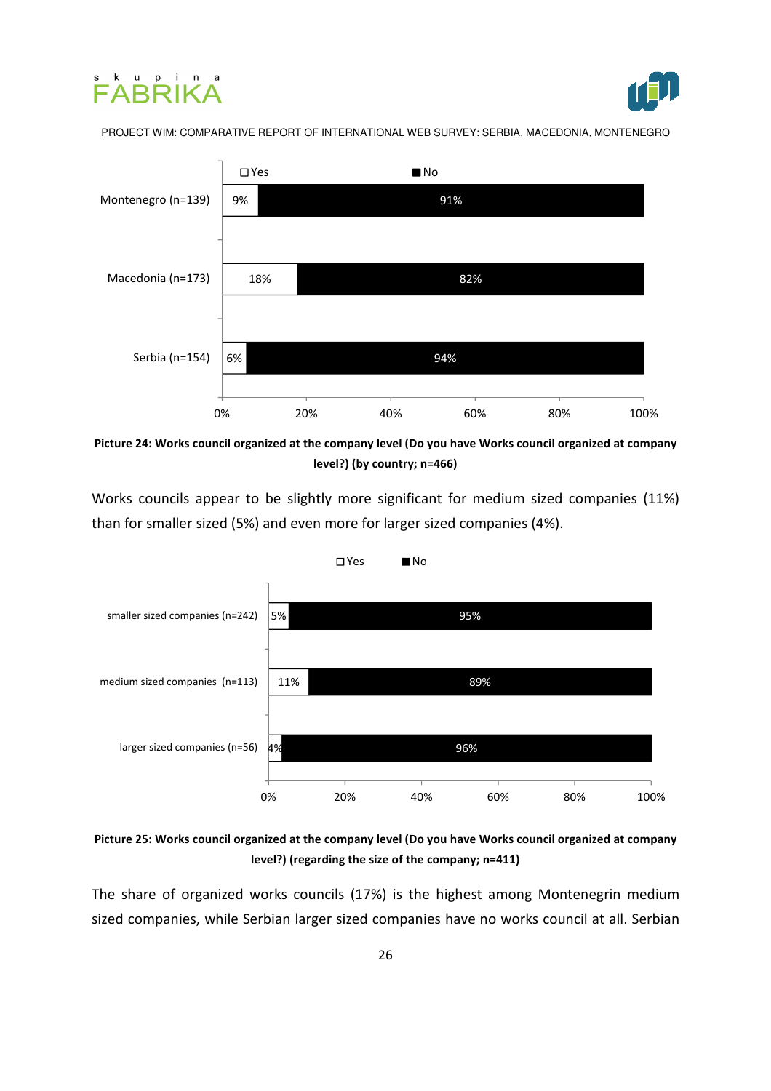





Picture 24: Works council organized at the company level (Do you have Works council organized at company level?) (by country; n=466)

Works councils appear to be slightly more significant for medium sized companies (11%) than for smaller sized (5%) and even more for larger sized companies (4%).



Picture 25: Works council organized at the company level (Do you have Works council organized at company level?) (regarding the size of the company; n=411)

The share of organized works councils (17%) is the highest among Montenegrin medium sized companies, while Serbian larger sized companies have no works council at all. Serbian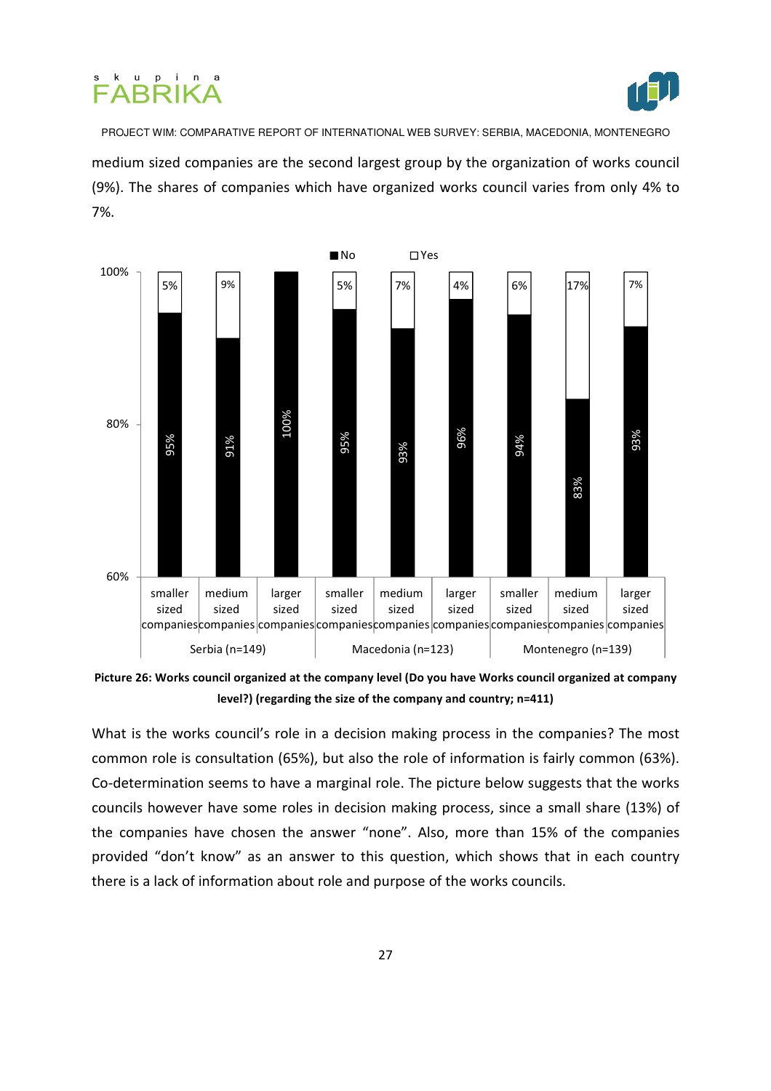



PROJECT WIM: COMPARATIVE REPORT OF INTERNATIONAL WEB SURVEY: SERBIA, MACEDONIA, MONTENEGRO medium sized companies are the second largest group by the organization of works council (9%). The shares of companies which have organized works council varies from only 4% to 7%.



Picture 26: Works council organized at the company level (Do you have Works council organized at company level?) (regarding the size of the company and country; n=411)

What is the works council's role in a decision making process in the companies? The most common role is consultation (65%), but also the role of information is fairly common (63%). Co-determination seems to have a marginal role. The picture below suggests that the works councils however have some roles in decision making process, since a small share (13%) of the companies have chosen the answer "none". Also, more than 15% of the companies provided "don't know" as an answer to this question, which shows that in each country there is a lack of information about role and purpose of the works councils.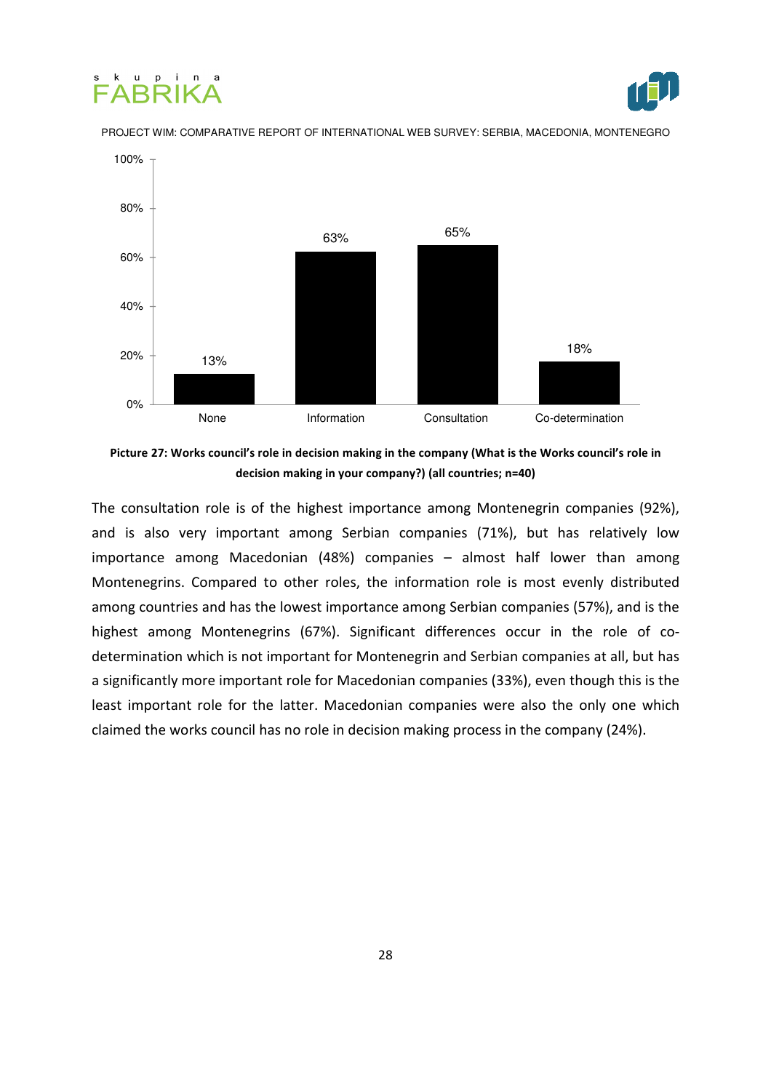





Picture 27: Works council's role in decision making in the company (What is the Works council's role in decision making in your company?) (all countries; n=40)

The consultation role is of the highest importance among Montenegrin companies (92%), and is also very important among Serbian companies (71%), but has relatively low importance among Macedonian (48%) companies – almost half lower than among Montenegrins. Compared to other roles, the information role is most evenly distributed among countries and has the lowest importance among Serbian companies (57%), and is the highest among Montenegrins (67%). Significant differences occur in the role of codetermination which is not important for Montenegrin and Serbian companies at all, but has a significantly more important role for Macedonian companies (33%), even though this is the least important role for the latter. Macedonian companies were also the only one which claimed the works council has no role in decision making process in the company (24%).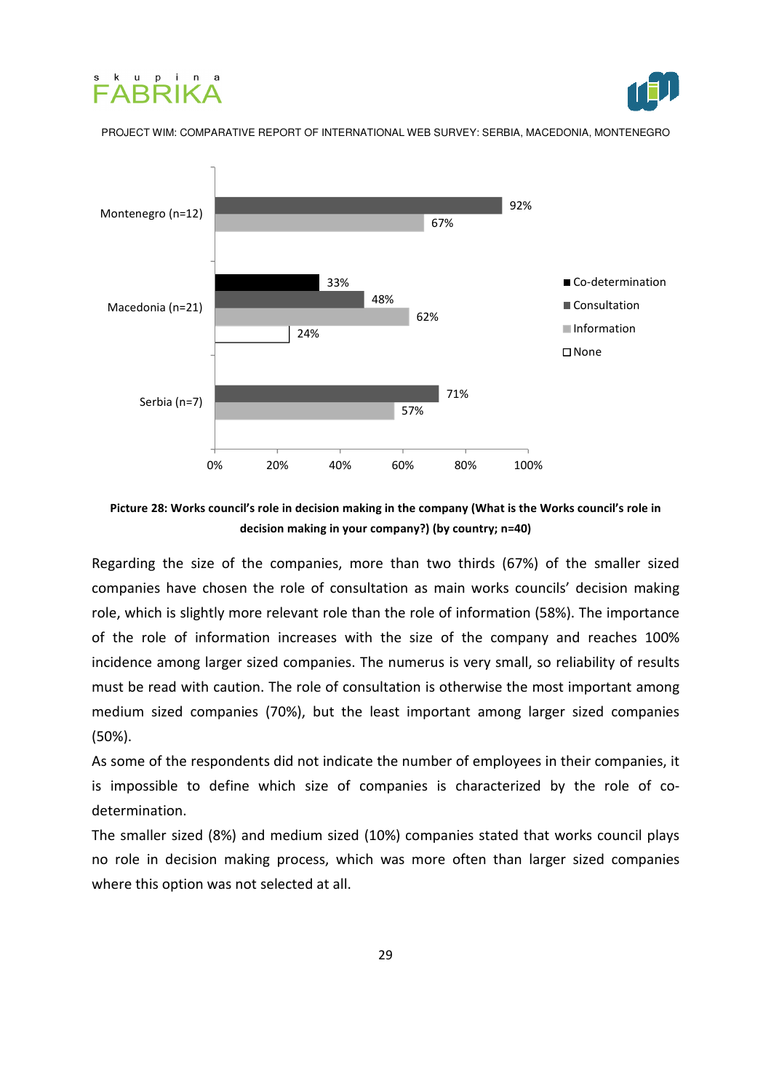





Picture 28: Works council's role in decision making in the company (What is the Works council's role in decision making in your company?) (by country; n=40)

Regarding the size of the companies, more than two thirds (67%) of the smaller sized companies have chosen the role of consultation as main works councils' decision making role, which is slightly more relevant role than the role of information (58%). The importance of the role of information increases with the size of the company and reaches 100% incidence among larger sized companies. The numerus is very small, so reliability of results must be read with caution. The role of consultation is otherwise the most important among medium sized companies (70%), but the least important among larger sized companies (50%).

As some of the respondents did not indicate the number of employees in their companies, it is impossible to define which size of companies is characterized by the role of codetermination.

The smaller sized (8%) and medium sized (10%) companies stated that works council plays no role in decision making process, which was more often than larger sized companies where this option was not selected at all.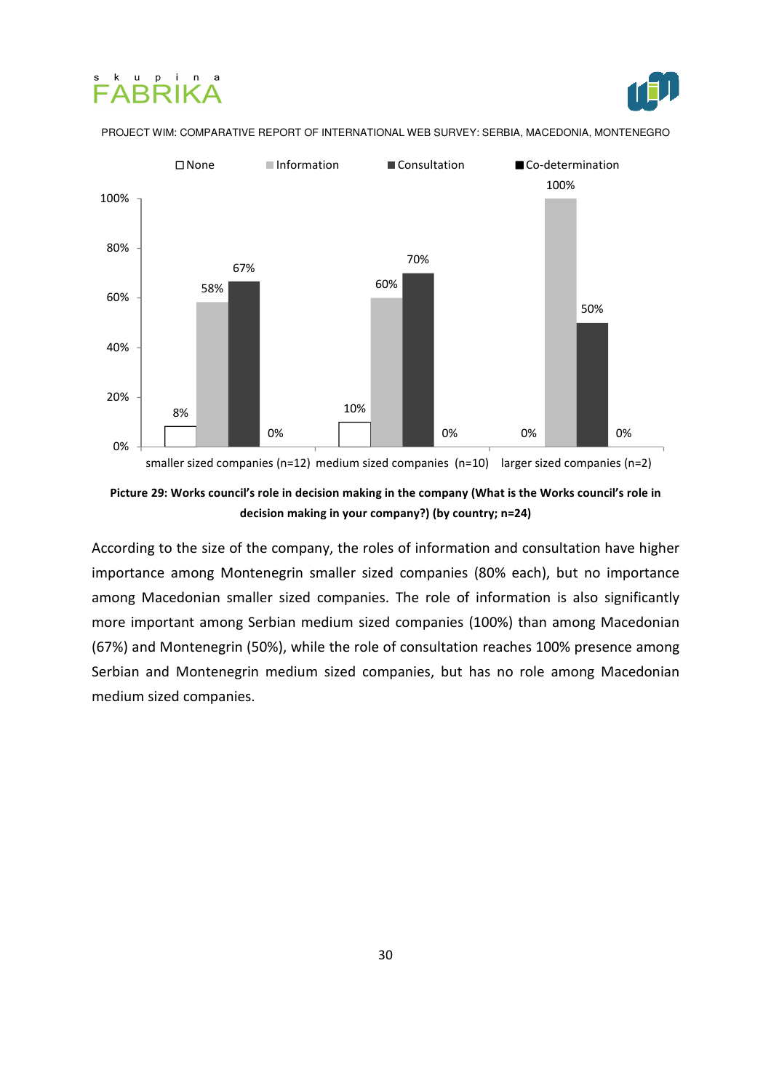







According to the size of the company, the roles of information and consultation have higher importance among Montenegrin smaller sized companies (80% each), but no importance among Macedonian smaller sized companies. The role of information is also significantly more important among Serbian medium sized companies (100%) than among Macedonian (67%) and Montenegrin (50%), while the role of consultation reaches 100% presence among Serbian and Montenegrin medium sized companies, but has no role among Macedonian medium sized companies.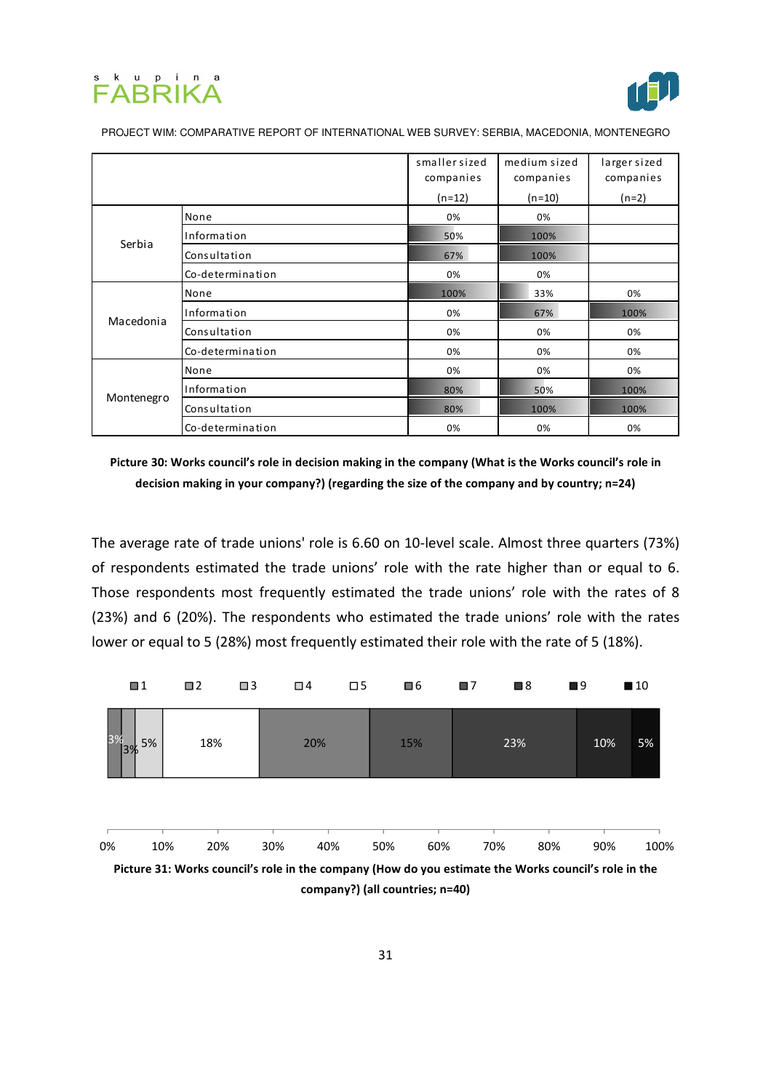



|            |                  | smaller sized | medium sized | larger sized |
|------------|------------------|---------------|--------------|--------------|
|            |                  | companies     | companies    | companies    |
|            |                  | $(n=12)$      | $(n=10)$     | $(n=2)$      |
| Serbia     | None             | 0%            | 0%           |              |
|            | Information      | 50%           | 100%         |              |
|            | Consultation     | 67%           | 100%         |              |
|            | Co-determination | 0%            | 0%           |              |
| Macedonia  | None             | 100%          | 33%          | 0%           |
|            | Information      | 0%            | 67%          | 100%         |
|            | Consultation     | 0%            | 0%           | 0%           |
|            | Co-determination | 0%            | 0%           | 0%           |
| Montenegro | None             | 0%            | 0%           | 0%           |
|            | Information      | 80%           | 50%          | 100%         |
|            | Consultation     | 80%           | 100%         | 100%         |
|            | Co-determination | 0%            | 0%           | 0%           |

Picture 30: Works council's role in decision making in the company (What is the Works council's role in decision making in your company?) (regarding the size of the company and by country; n=24)

The average rate of trade unions' role is 6.60 on 10-level scale. Almost three quarters (73%) of respondents estimated the trade unions' role with the rate higher than or equal to 6. Those respondents most frequently estimated the trade unions' role with the rates of 8 (23%) and 6 (20%). The respondents who estimated the trade unions' role with the rates lower or equal to 5 (28%) most frequently estimated their role with the rate of 5 (18%).

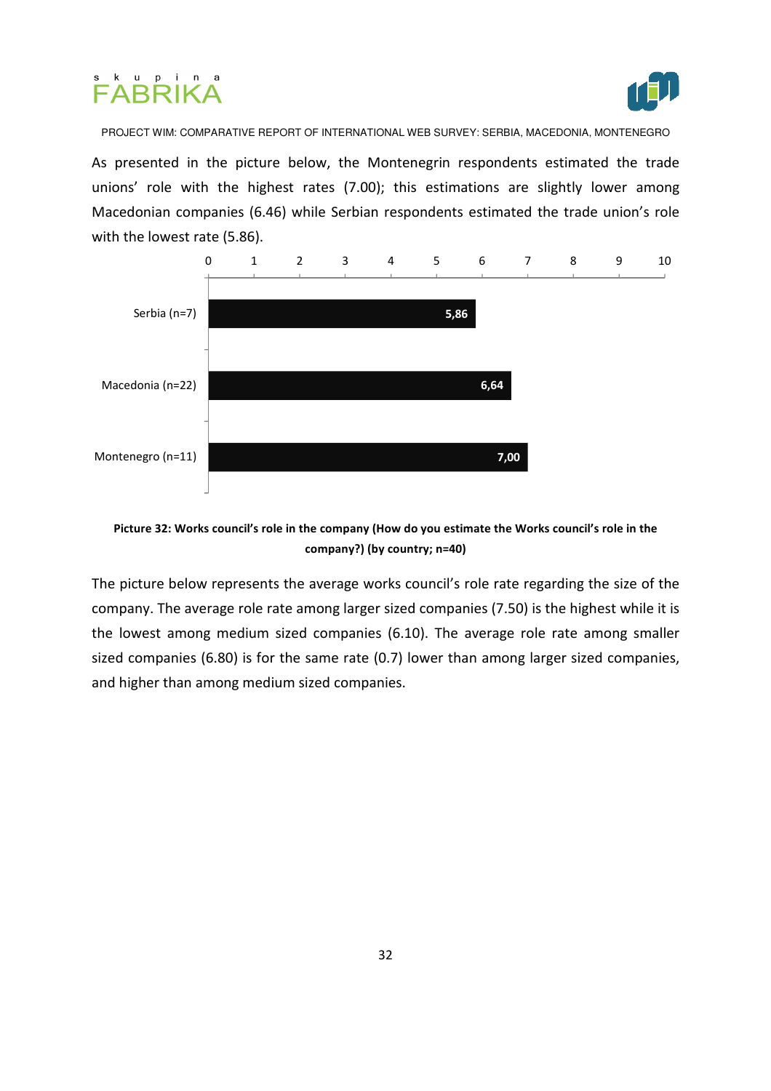



As presented in the picture below, the Montenegrin respondents estimated the trade unions' role with the highest rates (7.00); this estimations are slightly lower among Macedonian companies (6.46) while Serbian respondents estimated the trade union's role with the lowest rate (5.86).



#### Picture 32: Works council's role in the company (How do you estimate the Works council's role in the company?) (by country; n=40)

The picture below represents the average works council's role rate regarding the size of the company. The average role rate among larger sized companies (7.50) is the highest while it is the lowest among medium sized companies (6.10). The average role rate among smaller sized companies (6.80) is for the same rate (0.7) lower than among larger sized companies, and higher than among medium sized companies.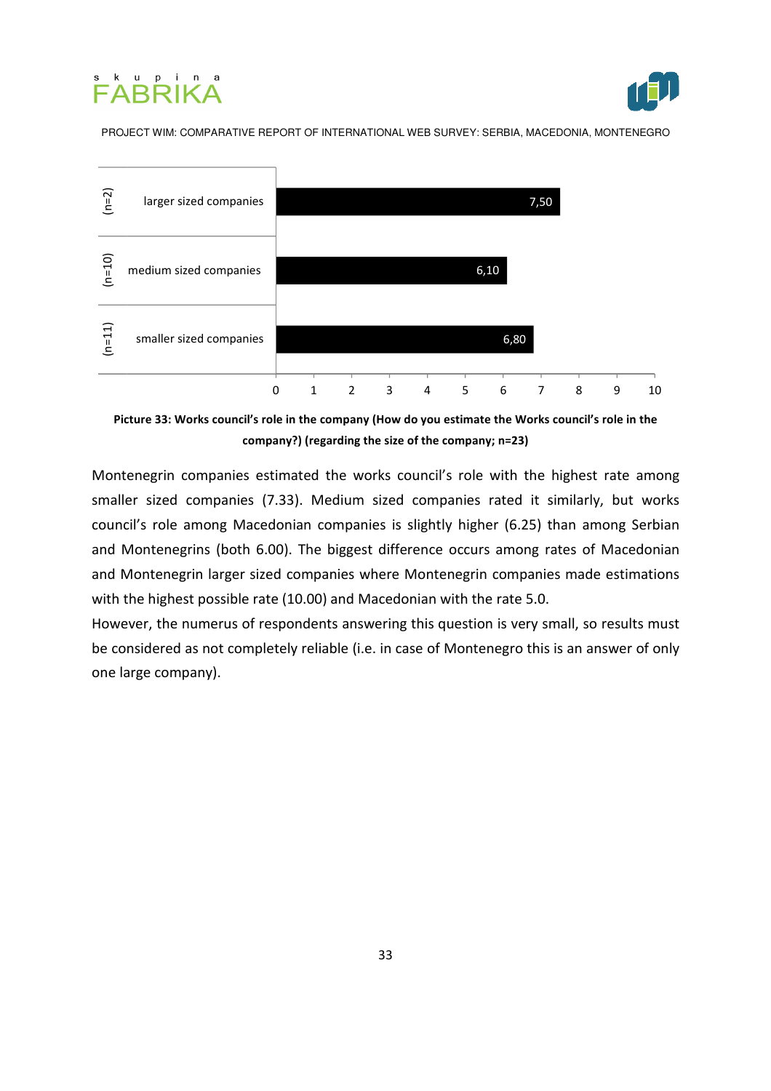





Picture 33: Works council's role in the company (How do you estimate the Works council's role in the company?) (regarding the size of the company; n=23)

Montenegrin companies estimated the works council's role with the highest rate among smaller sized companies (7.33). Medium sized companies rated it similarly, but works council's role among Macedonian companies is slightly higher (6.25) than among Serbian and Montenegrins (both 6.00). The biggest difference occurs among rates of Macedonian and Montenegrin larger sized companies where Montenegrin companies made estimations with the highest possible rate (10.00) and Macedonian with the rate 5.0.

However, the numerus of respondents answering this question is very small, so results must be considered as not completely reliable (i.e. in case of Montenegro this is an answer of only one large company).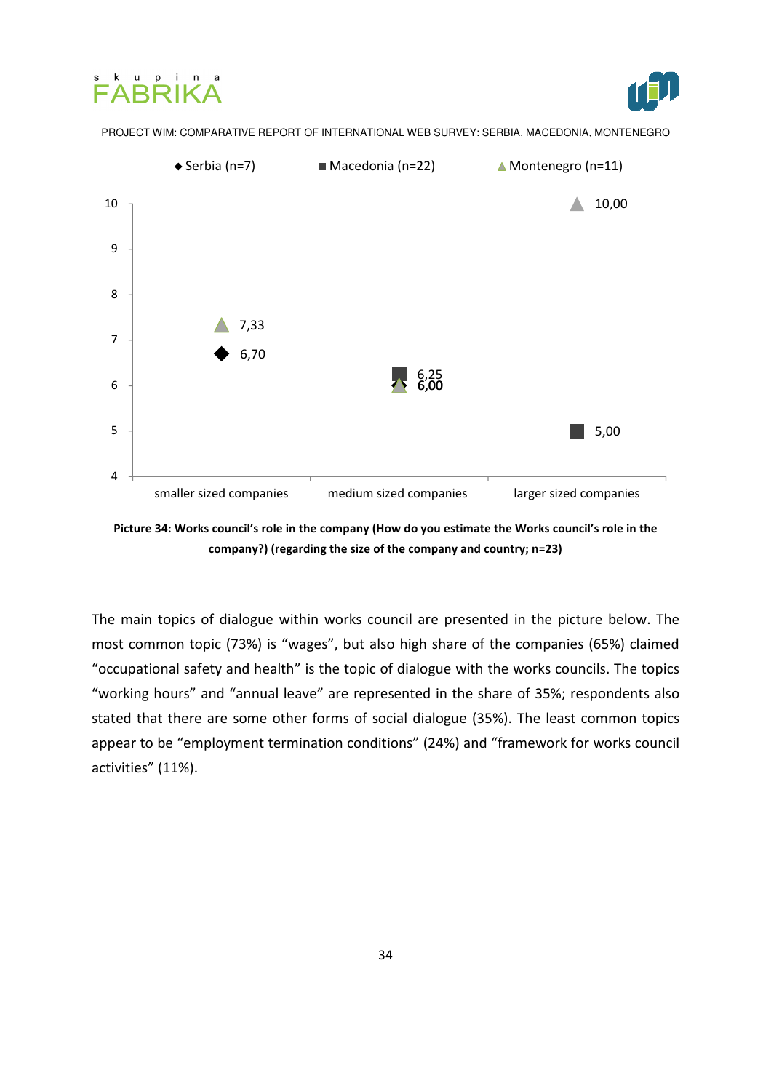





Picture 34: Works council's role in the company (How do you estimate the Works council's role in the company?) (regarding the size of the company and country; n=23)

The main topics of dialogue within works council are presented in the picture below. The most common topic (73%) is "wages", but also high share of the companies (65%) claimed "occupational safety and health" is the topic of dialogue with the works councils. The topics "working hours" and "annual leave" are represented in the share of 35%; respondents also stated that there are some other forms of social dialogue (35%). The least common topics appear to be "employment termination conditions" (24%) and "framework for works council activities" (11%).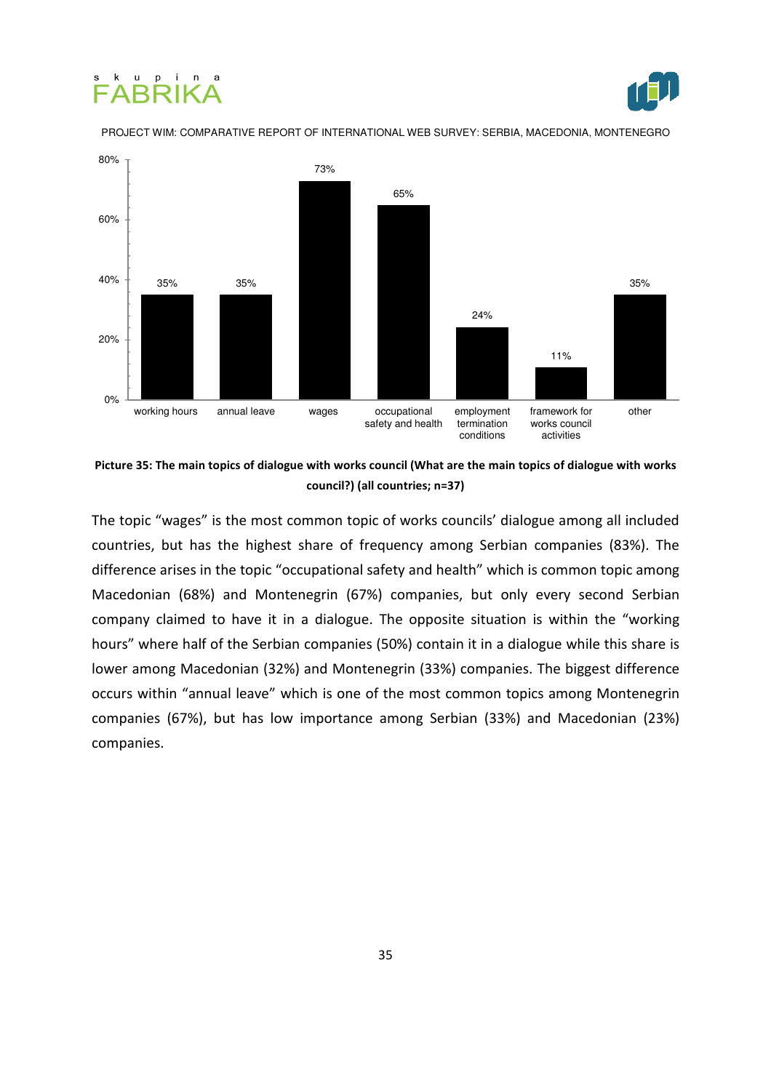#### ku pin FARRIKA j



#### PROJECT WIM: COMPARATIVE REPORT OF INTERNATIONAL WEB SURVEY: SERBIA, MACEDONIA, MONTENEGRO



Picture 35: The main topics of dialogue with works council (What are the main topics of dialogue with works council?) (all countries; n=37)

The topic "wages" is the most common topic of works councils' dialogue among all included countries, but has the highest share of frequency among Serbian companies (83%). The difference arises in the topic "occupational safety and health" which is common topic among Macedonian (68%) and Montenegrin (67%) companies, but only every second Serbian company claimed to have it in a dialogue. The opposite situation is within the "working hours" where half of the Serbian companies (50%) contain it in a dialogue while this share is lower among Macedonian (32%) and Montenegrin (33%) companies. The biggest difference occurs within "annual leave" which is one of the most common topics among Montenegrin companies (67%), but has low importance among Serbian (33%) and Macedonian (23%) companies.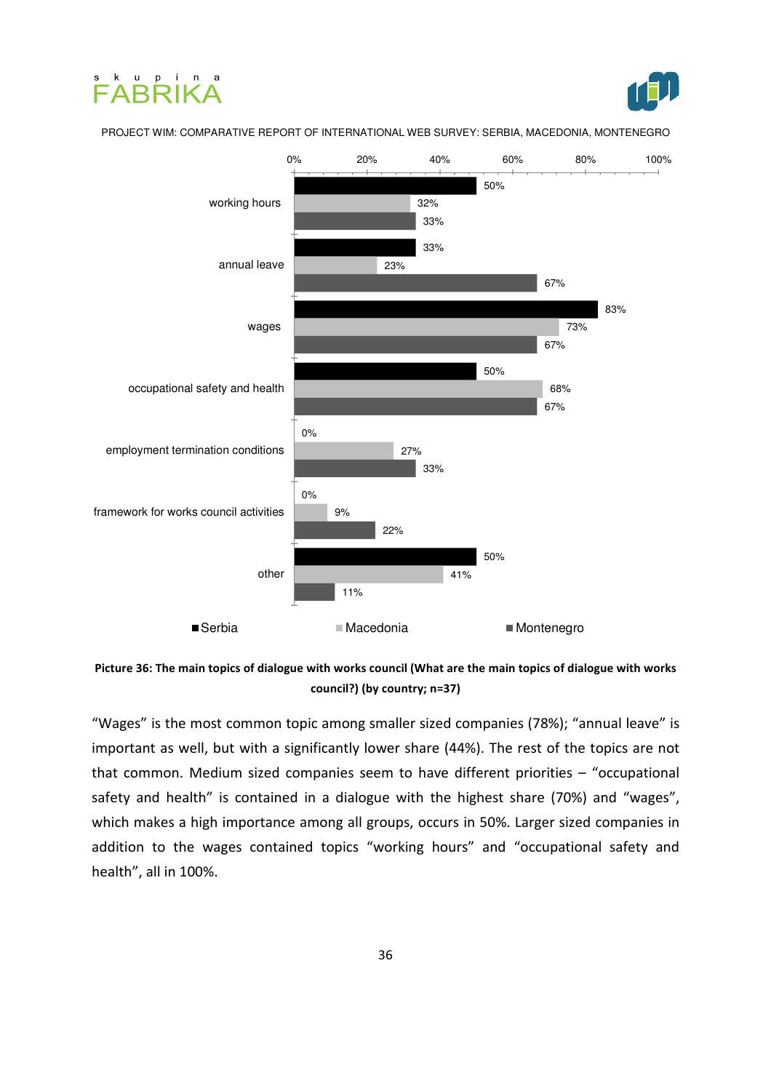





Picture 36: The main topics of dialogue with works council (What are the main topics of dialogue with works council?) (by country; n=37)

"Wages" is the most common topic among smaller sized companies (78%); "annual leave" is important as well, but with a significantly lower share (44%). The rest of the topics are not that common. Medium sized companies seem to have different priorities – "occupational safety and health" is contained in a dialogue with the highest share (70%) and "wages", which makes a high importance among all groups, occurs in 50%. Larger sized companies in addition to the wages contained topics "working hours" and "occupational safety and health", all in 100%.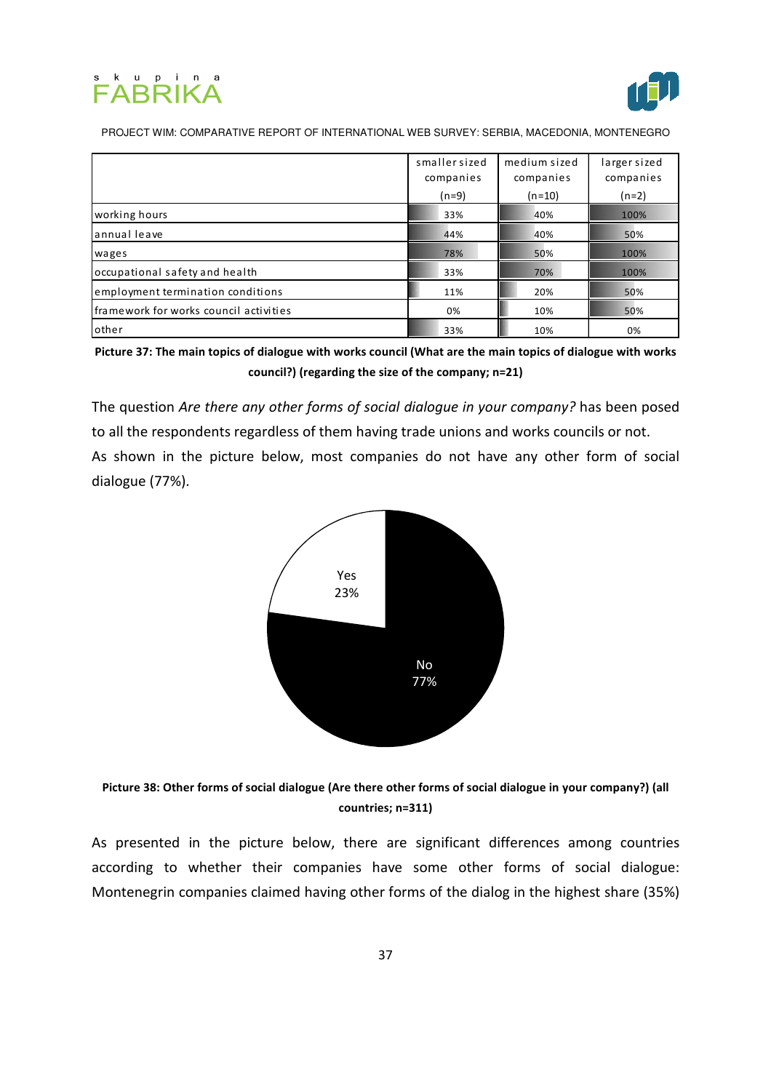



|                                        | smaller sized<br>companies<br>$(n=9)$ | medium sized<br>companies<br>$(n=10)$ | larger sized<br>companies<br>$(n=2)$ |
|----------------------------------------|---------------------------------------|---------------------------------------|--------------------------------------|
| working hours                          | 33%                                   | 40%                                   | 100%                                 |
| lannual leave                          | 44%                                   | 40%                                   | 50%                                  |
| wages                                  | 78%                                   | 50%                                   | 100%                                 |
| occupational safety and health         | 33%                                   | 70%                                   | 100%                                 |
| employment termination conditions      | 11%                                   | 20%                                   | 50%                                  |
| framework for works council activities | 0%                                    | 10%                                   | 50%                                  |
| <b>l</b> other                         | 33%                                   | 10%                                   | 0%                                   |

Picture 37: The main topics of dialogue with works council (What are the main topics of dialogue with works council?) (regarding the size of the company; n=21)

The question Are there any other forms of social dialogue in your company? has been posed to all the respondents regardless of them having trade unions and works councils or not. As shown in the picture below, most companies do not have any other form of social dialogue (77%).





As presented in the picture below, there are significant differences among countries according to whether their companies have some other forms of social dialogue: Montenegrin companies claimed having other forms of the dialog in the highest share (35%)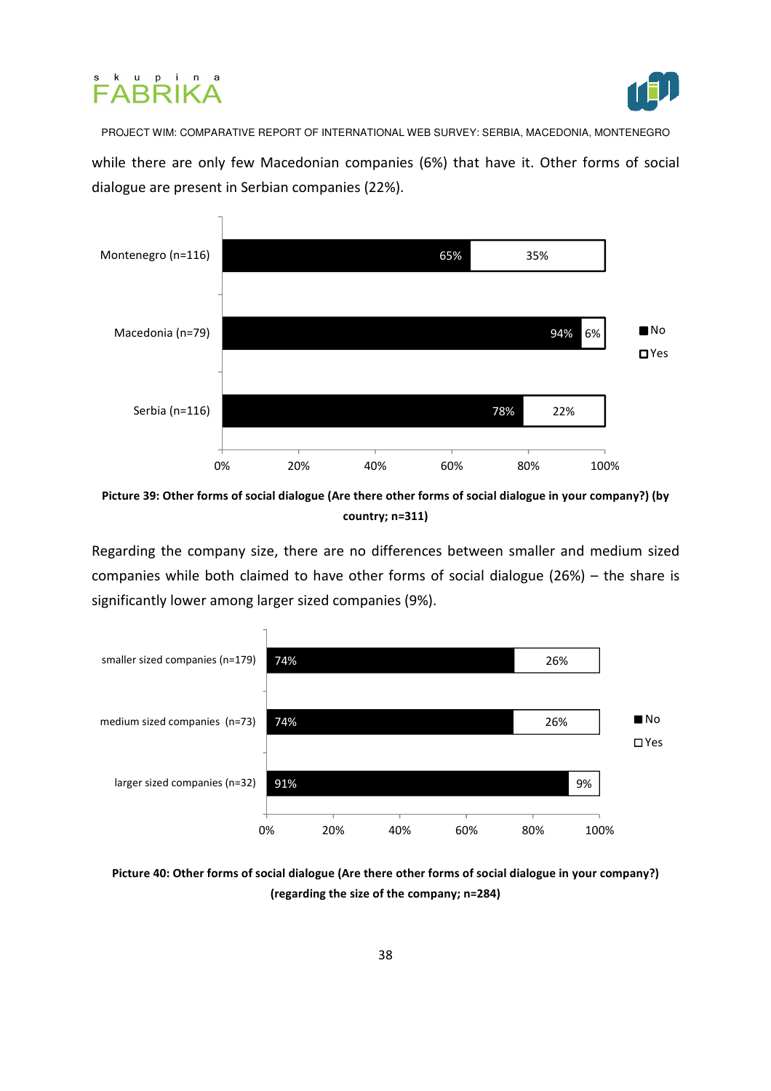



while there are only few Macedonian companies (6%) that have it. Other forms of social dialogue are present in Serbian companies (22%).



Picture 39: Other forms of social dialogue (Are there other forms of social dialogue in your company?) (by country; n=311)

Regarding the company size, there are no differences between smaller and medium sized companies while both claimed to have other forms of social dialogue (26%) – the share is significantly lower among larger sized companies (9%).



Picture 40: Other forms of social dialogue (Are there other forms of social dialogue in your company?) (regarding the size of the company; n=284)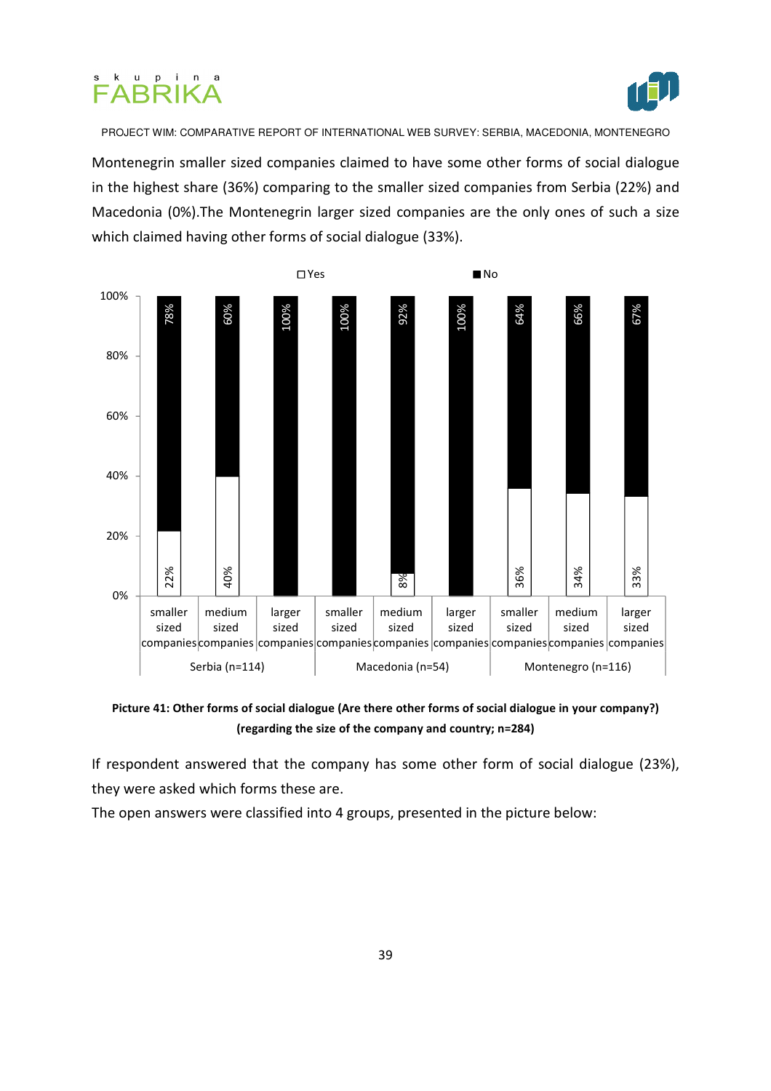



Montenegrin smaller sized companies claimed to have some other forms of social dialogue in the highest share (36%) comparing to the smaller sized companies from Serbia (22%) and Macedonia (0%).The Montenegrin larger sized companies are the only ones of such a size which claimed having other forms of social dialogue (33%).



Picture 41: Other forms of social dialogue (Are there other forms of social dialogue in your company?) (regarding the size of the company and country; n=284)

If respondent answered that the company has some other form of social dialogue (23%), they were asked which forms these are.

The open answers were classified into 4 groups, presented in the picture below: